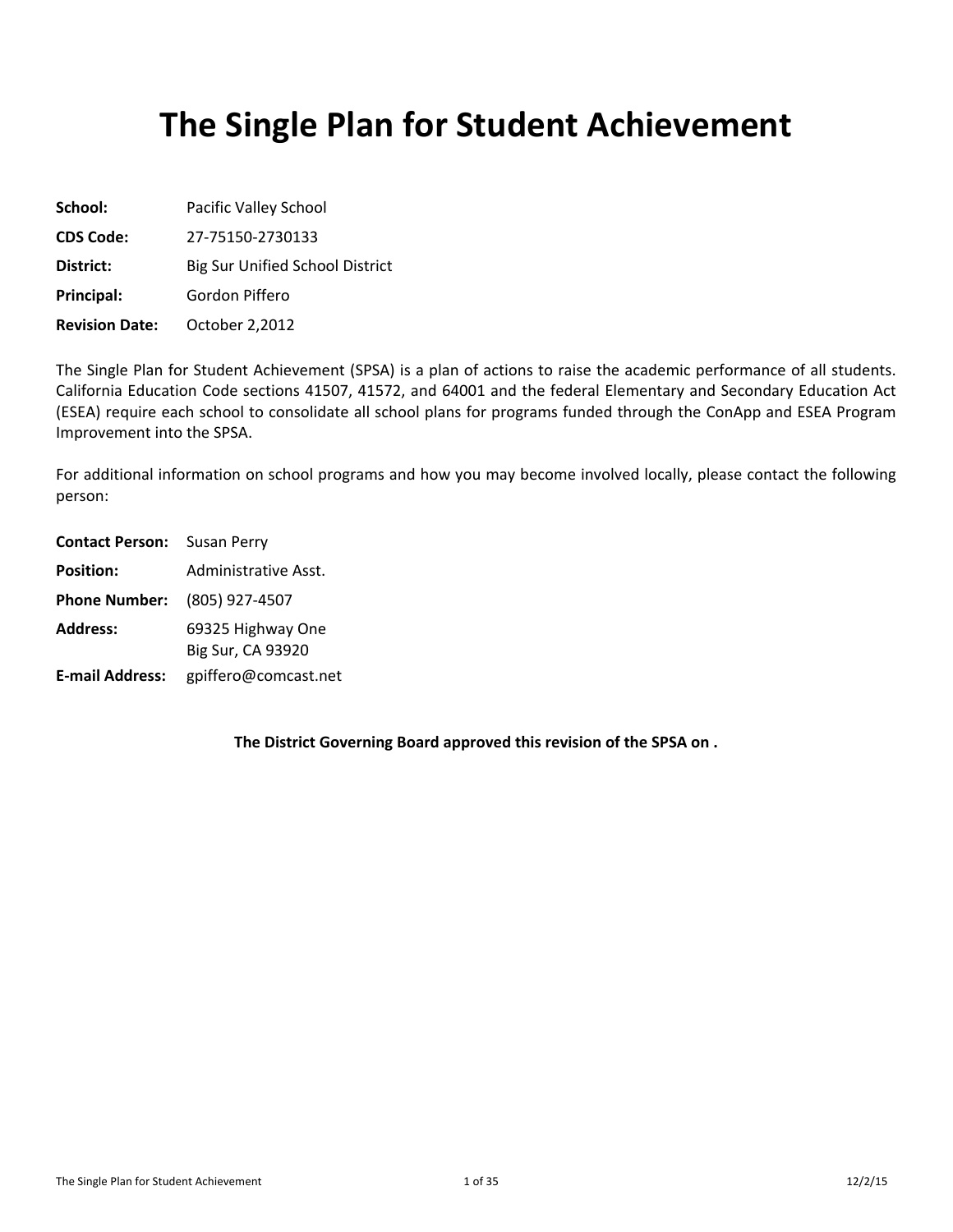# **The Single Plan for Student Achievement**

| School:               | Pacific Valley School                  |
|-----------------------|----------------------------------------|
| <b>CDS Code:</b>      | 27-75150-2730133                       |
| District:             | <b>Big Sur Unified School District</b> |
| Principal:            | Gordon Piffero                         |
| <b>Revision Date:</b> | October 2,2012                         |

The Single Plan for Student Achievement (SPSA) is a plan of actions to raise the academic performance of all students. California Education Code sections 41507, 41572, and 64001 and the federal Elementary and Secondary Education Act (ESEA) require each school to consolidate all school plans for programs funded through the ConApp and ESEA Program Improvement into the SPSA.

For additional information on school programs and how you may become involved locally, please contact the following person:

| <b>Contact Person:</b> Susan Perry  |                                        |  |  |  |  |
|-------------------------------------|----------------------------------------|--|--|--|--|
| <b>Position:</b>                    | Administrative Asst.                   |  |  |  |  |
| <b>Phone Number:</b> (805) 927-4507 |                                        |  |  |  |  |
| <b>Address:</b>                     | 69325 Highway One<br>Big Sur, CA 93920 |  |  |  |  |
| <b>E-mail Address:</b>              | gpiffero@comcast.net                   |  |  |  |  |

**The District Governing Board approved this revision of the SPSA on .**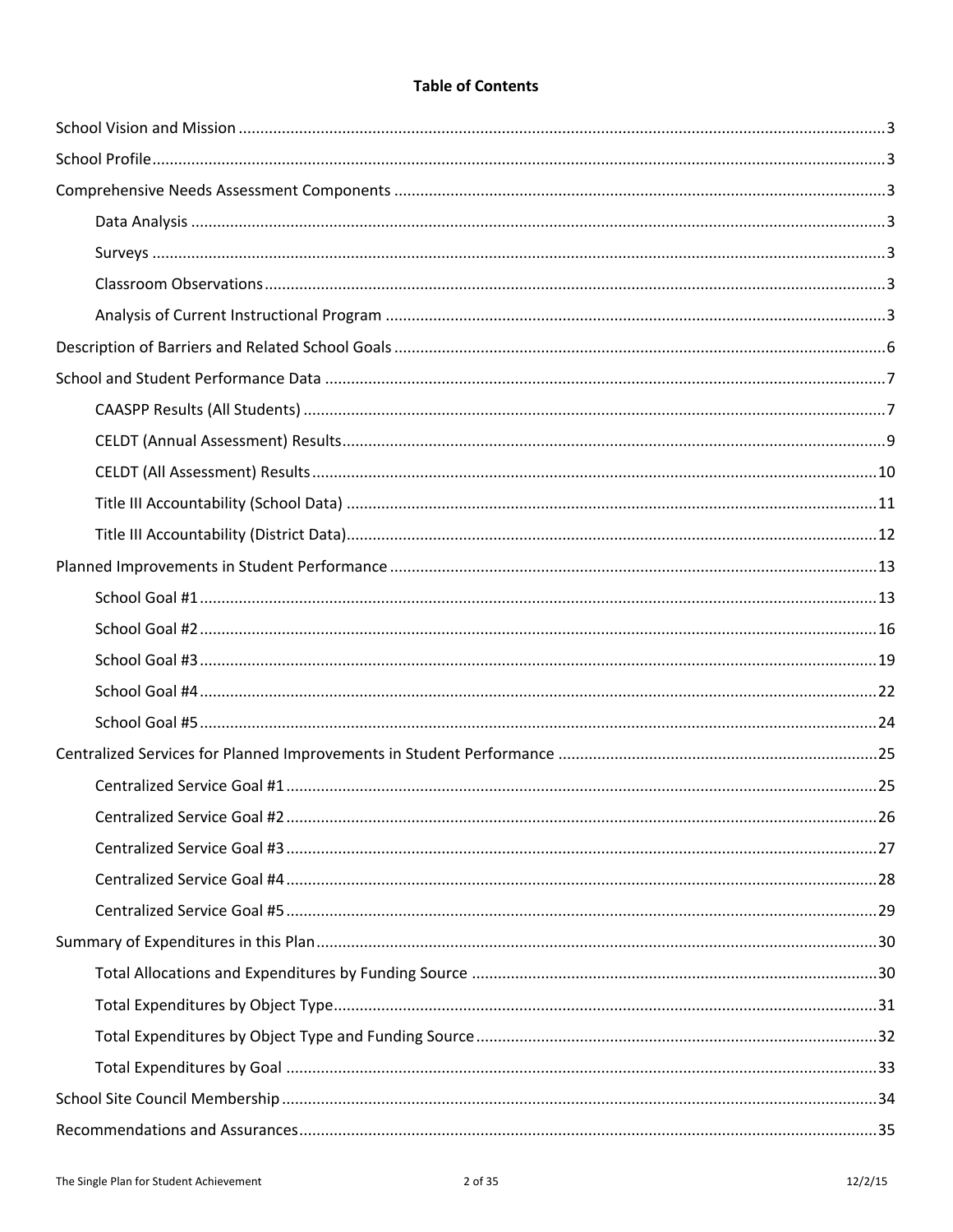# **Table of Contents**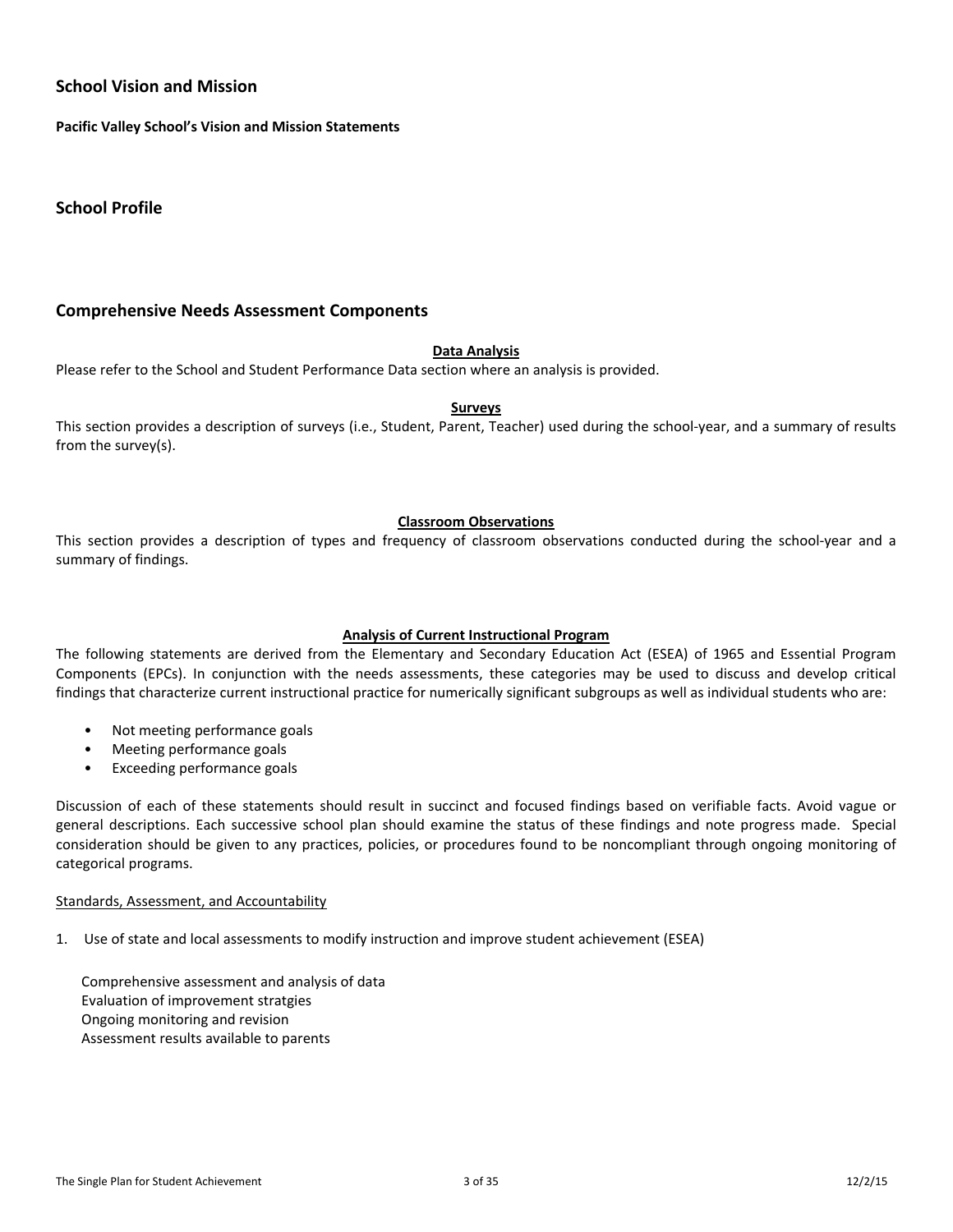### **School Vision and Mission**

**Pacific Valley School's Vision and Mission Statements**

**School Profile**

### **Comprehensive Needs Assessment Components**

#### **Data Analysis**

Please refer to the School and Student Performance Data section where an analysis is provided.

#### **Surveys**

This section provides a description of surveys (i.e., Student, Parent, Teacher) used during the school-year, and a summary of results from the survey(s).

#### **Classroom Observations**

This section provides a description of types and frequency of classroom observations conducted during the school-year and a summary of findings.

#### **Analysis of Current Instructional Program**

The following statements are derived from the Elementary and Secondary Education Act (ESEA) of 1965 and Essential Program Components (EPCs). In conjunction with the needs assessments, these categories may be used to discuss and develop critical findings that characterize current instructional practice for numerically significant subgroups as well as individual students who are:

- Not meeting performance goals
- Meeting performance goals
- Exceeding performance goals

Discussion of each of these statements should result in succinct and focused findings based on verifiable facts. Avoid vague or general descriptions. Each successive school plan should examine the status of these findings and note progress made. Special consideration should be given to any practices, policies, or procedures found to be noncompliant through ongoing monitoring of categorical programs.

#### Standards, Assessment, and Accountability

1. Use of state and local assessments to modify instruction and improve student achievement (ESEA)

Comprehensive assessment and analysis of data Evaluation of improvement stratgies Ongoing monitoring and revision Assessment results available to parents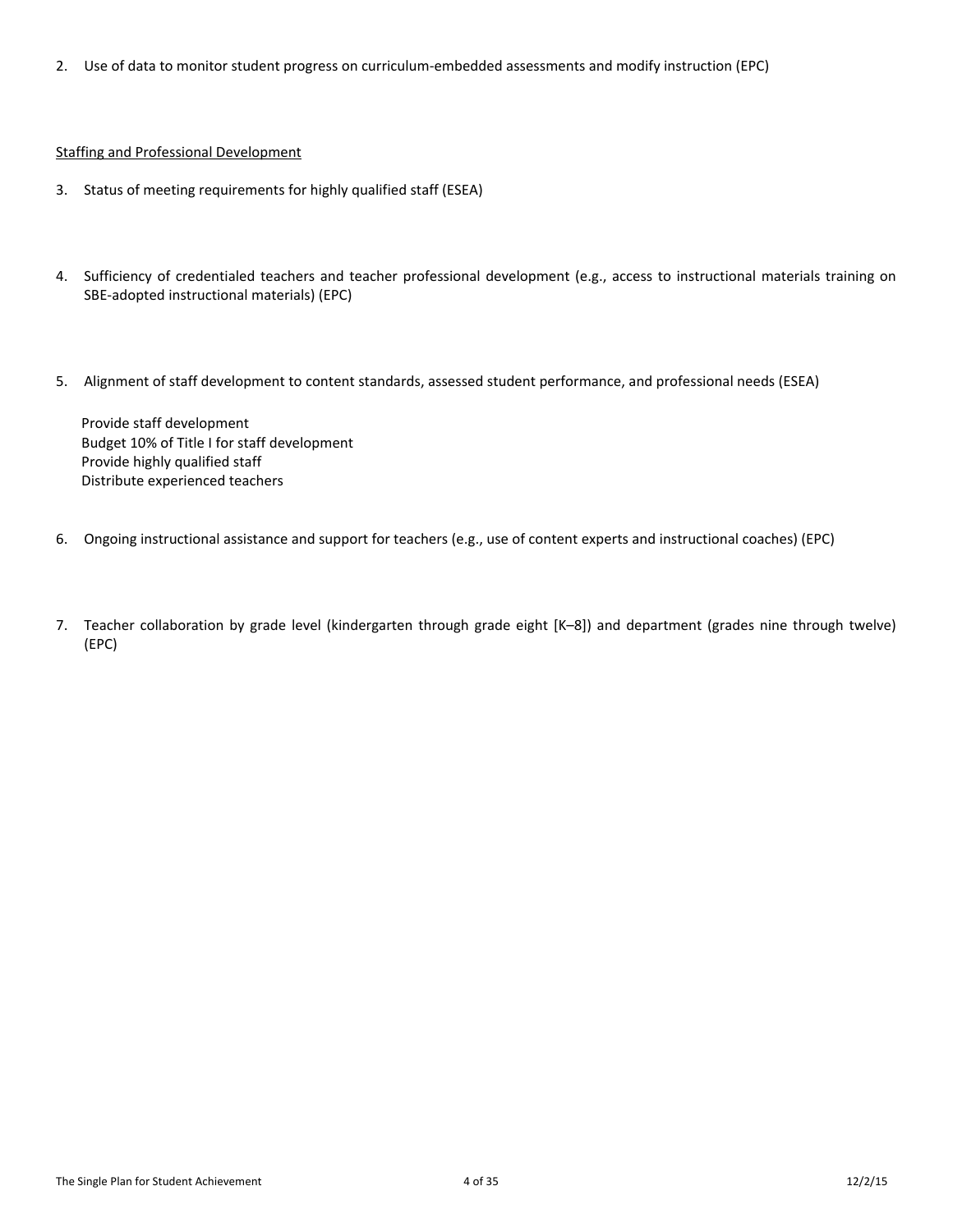2. Use of data to monitor student progress on curriculum-embedded assessments and modify instruction (EPC)

#### Staffing and Professional Development

- 3. Status of meeting requirements for highly qualified staff (ESEA)
- 4. Sufficiency of credentialed teachers and teacher professional development (e.g., access to instructional materials training on SBE-adopted instructional materials) (EPC)
- 5. Alignment of staff development to content standards, assessed student performance, and professional needs (ESEA)

Provide staff development Budget 10% of Title I for staff development Provide highly qualified staff Distribute experienced teachers

- 6. Ongoing instructional assistance and support for teachers (e.g., use of content experts and instructional coaches) (EPC)
- 7. Teacher collaboration by grade level (kindergarten through grade eight [K–8]) and department (grades nine through twelve) (EPC)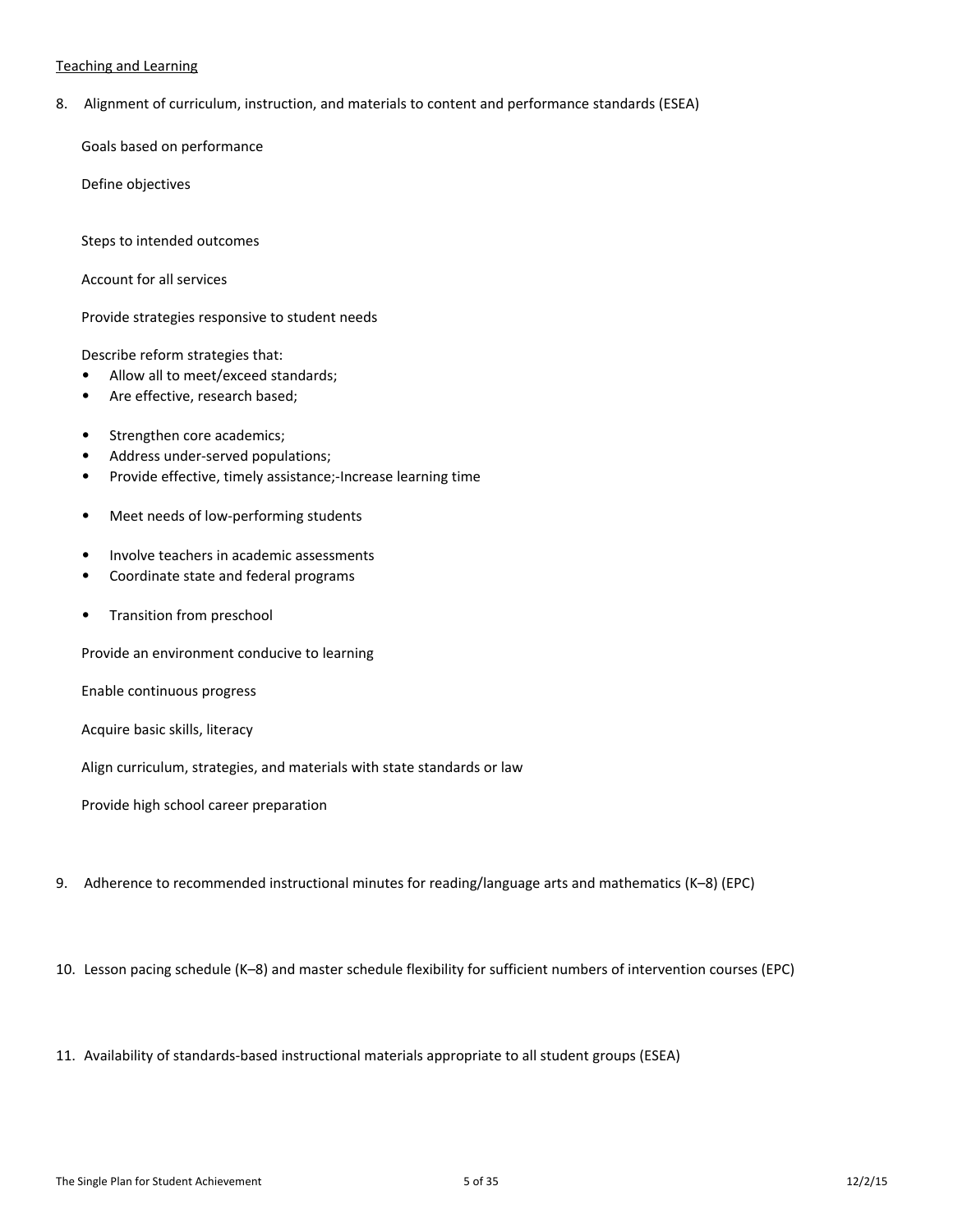#### Teaching and Learning

8. Alignment of curriculum, instruction, and materials to content and performance standards (ESEA)

Goals based on performance

Define objectives

Steps to intended outcomes

Account for all services

Provide strategies responsive to student needs

Describe reform strategies that:

- Allow all to meet/exceed standards;
- Are effective, research based;
- Strengthen core academics;
- Address under-served populations;
- Provide effective, timely assistance;-Increase learning time
- Meet needs of low-performing students
- Involve teachers in academic assessments
- Coordinate state and federal programs
- Transition from preschool

Provide an environment conducive to learning

Enable continuous progress

Acquire basic skills, literacy

Align curriculum, strategies, and materials with state standards or law

Provide high school career preparation

9. Adherence to recommended instructional minutes for reading/language arts and mathematics (K–8) (EPC)

10. Lesson pacing schedule (K–8) and master schedule flexibility for sufficient numbers of intervention courses (EPC)

11. Availability of standards-based instructional materials appropriate to all student groups (ESEA)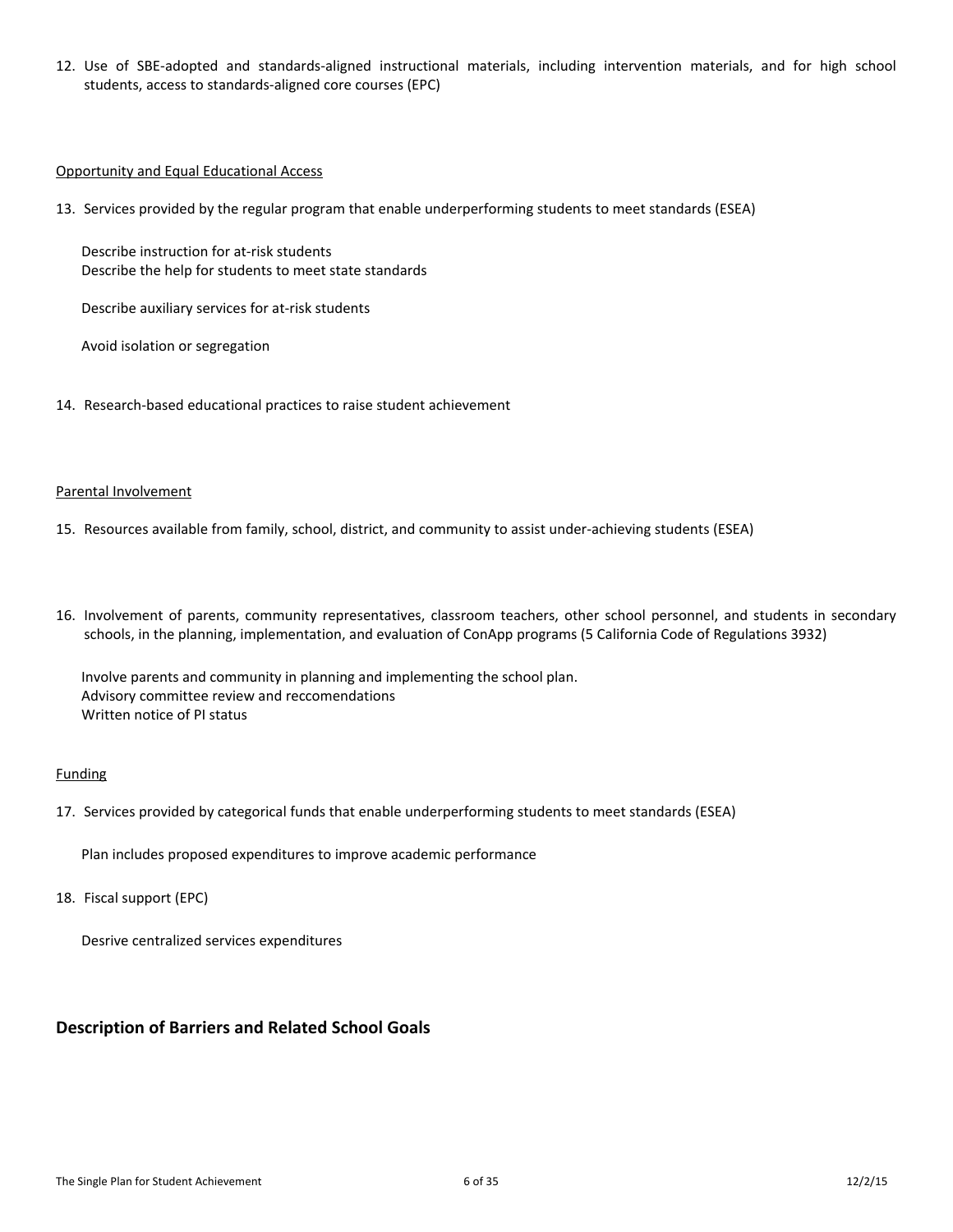12. Use of SBE-adopted and standards-aligned instructional materials, including intervention materials, and for high school students, access to standards-aligned core courses (EPC)

#### Opportunity and Equal Educational Access

13. Services provided by the regular program that enable underperforming students to meet standards (ESEA)

Describe instruction for at-risk students Describe the help for students to meet state standards

Describe auxiliary services for at-risk students

Avoid isolation or segregation

14. Research-based educational practices to raise student achievement

#### Parental Involvement

- 15. Resources available from family, school, district, and community to assist under-achieving students (ESEA)
- 16. Involvement of parents, community representatives, classroom teachers, other school personnel, and students in secondary schools, in the planning, implementation, and evaluation of ConApp programs (5 California Code of Regulations 3932)

Involve parents and community in planning and implementing the school plan. Advisory committee review and reccomendations Written notice of PI status

#### **Funding**

17. Services provided by categorical funds that enable underperforming students to meet standards (ESEA)

Plan includes proposed expenditures to improve academic performance

18. Fiscal support (EPC)

Desrive centralized services expenditures

### **Description of Barriers and Related School Goals**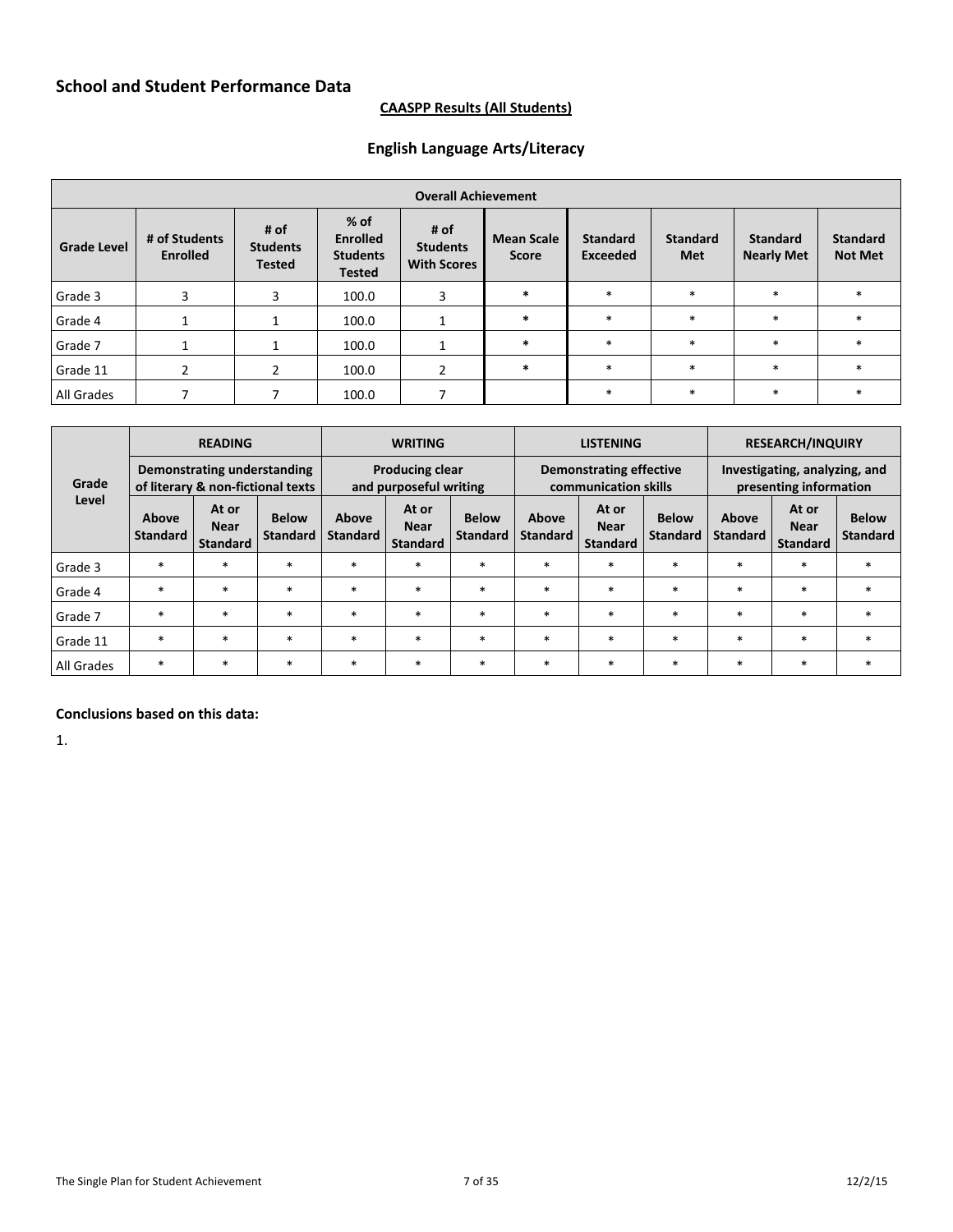## **CAASPP Results (All Students)**

# **English Language Arts/Literacy**

|                    | <b>Overall Achievement</b>       |                                          |                                                             |                                                 |                                   |                                    |                               |                                      |                                   |  |
|--------------------|----------------------------------|------------------------------------------|-------------------------------------------------------------|-------------------------------------------------|-----------------------------------|------------------------------------|-------------------------------|--------------------------------------|-----------------------------------|--|
| <b>Grade Level</b> | # of Students<br><b>Enrolled</b> | # of<br><b>Students</b><br><b>Tested</b> | % of<br><b>Enrolled</b><br><b>Students</b><br><b>Tested</b> | # $of$<br><b>Students</b><br><b>With Scores</b> | <b>Mean Scale</b><br><b>Score</b> | <b>Standard</b><br><b>Exceeded</b> | <b>Standard</b><br><b>Met</b> | <b>Standard</b><br><b>Nearly Met</b> | <b>Standard</b><br><b>Not Met</b> |  |
| Grade 3            | 3                                | 3                                        | 100.0                                                       | 3                                               | $\ast$                            | $\ast$                             | $\ast$                        | $\ast$                               | $\ast$                            |  |
| Grade 4            |                                  |                                          | 100.0                                                       |                                                 | $\ast$                            | $\ast$                             | $\ast$                        | $\ast$                               | $\ast$                            |  |
| Grade 7            |                                  |                                          | 100.0                                                       |                                                 | $\ast$                            | $\ast$                             | $\ast$                        | $\ast$                               | $\ast$                            |  |
| Grade 11           |                                  |                                          | 100.0                                                       | 2                                               | $\ast$                            | $\ast$                             | $\ast$                        | $\ast$                               | $\star$                           |  |
| All Grades         |                                  |                                          | 100.0                                                       |                                                 |                                   | $\ast$                             | $\ast$                        | $\ast$                               |                                   |  |

|            |                                                                  | <b>READING</b>                          |                                 | <b>WRITING</b>                                   |                                         |                                 | <b>LISTENING</b>                                       |                                         |                                 | <b>RESEARCH/INQUIRY</b>                                 |                                         |                                 |  |
|------------|------------------------------------------------------------------|-----------------------------------------|---------------------------------|--------------------------------------------------|-----------------------------------------|---------------------------------|--------------------------------------------------------|-----------------------------------------|---------------------------------|---------------------------------------------------------|-----------------------------------------|---------------------------------|--|
| Grade      | Demonstrating understanding<br>of literary & non-fictional texts |                                         |                                 | <b>Producing clear</b><br>and purposeful writing |                                         |                                 | <b>Demonstrating effective</b><br>communication skills |                                         |                                 | Investigating, analyzing, and<br>presenting information |                                         |                                 |  |
| Level      | Above<br><b>Standard</b>                                         | At or<br><b>Near</b><br><b>Standard</b> | <b>Below</b><br><b>Standard</b> | Above<br><b>Standard</b>                         | At or<br><b>Near</b><br><b>Standard</b> | <b>Below</b><br><b>Standard</b> | Above<br><b>Standard</b>                               | At or<br><b>Near</b><br><b>Standard</b> | <b>Below</b><br><b>Standard</b> | Above<br><b>Standard</b>                                | At or<br><b>Near</b><br><b>Standard</b> | <b>Below</b><br><b>Standard</b> |  |
| Grade 3    | $\ast$                                                           | $\ast$                                  | $\ast$                          | $\ast$                                           | $\ast$                                  | *                               | $\ast$                                                 | $\ast$                                  | $\ast$                          | $\ast$                                                  | $\ast$                                  | $*$                             |  |
| Grade 4    | $\ast$                                                           | $\ast$                                  | $\ast$                          | $\ast$                                           | *                                       | $\ast$                          | $\ast$                                                 | $\ast$                                  | $\ast$                          | $\ast$                                                  | $\ast$                                  | $\ast$                          |  |
| Grade 7    | $\ast$                                                           | $\ast$                                  | $\ast$                          | $\ast$                                           | $\ast$                                  | *                               | $\ast$                                                 | $\ast$                                  | $\ast$                          | $\ast$                                                  | $\ast$                                  | $\ast$                          |  |
| Grade 11   | $\ast$                                                           | $\ast$                                  | $\ast$                          | $\ast$                                           | $\ast$                                  | $\ast$                          | $\ast$                                                 | $\ast$                                  | $\ast$                          | $\ast$                                                  | $\ast$                                  | $\ast$                          |  |
| All Grades | *                                                                | $\ast$                                  | $\ast$                          | $\ast$                                           | $\ast$                                  | *                               | $\ast$                                                 | $\ast$                                  | $\ast$                          | $\ast$                                                  | $\ast$                                  | $*$                             |  |

# **Conclusions based on this data:**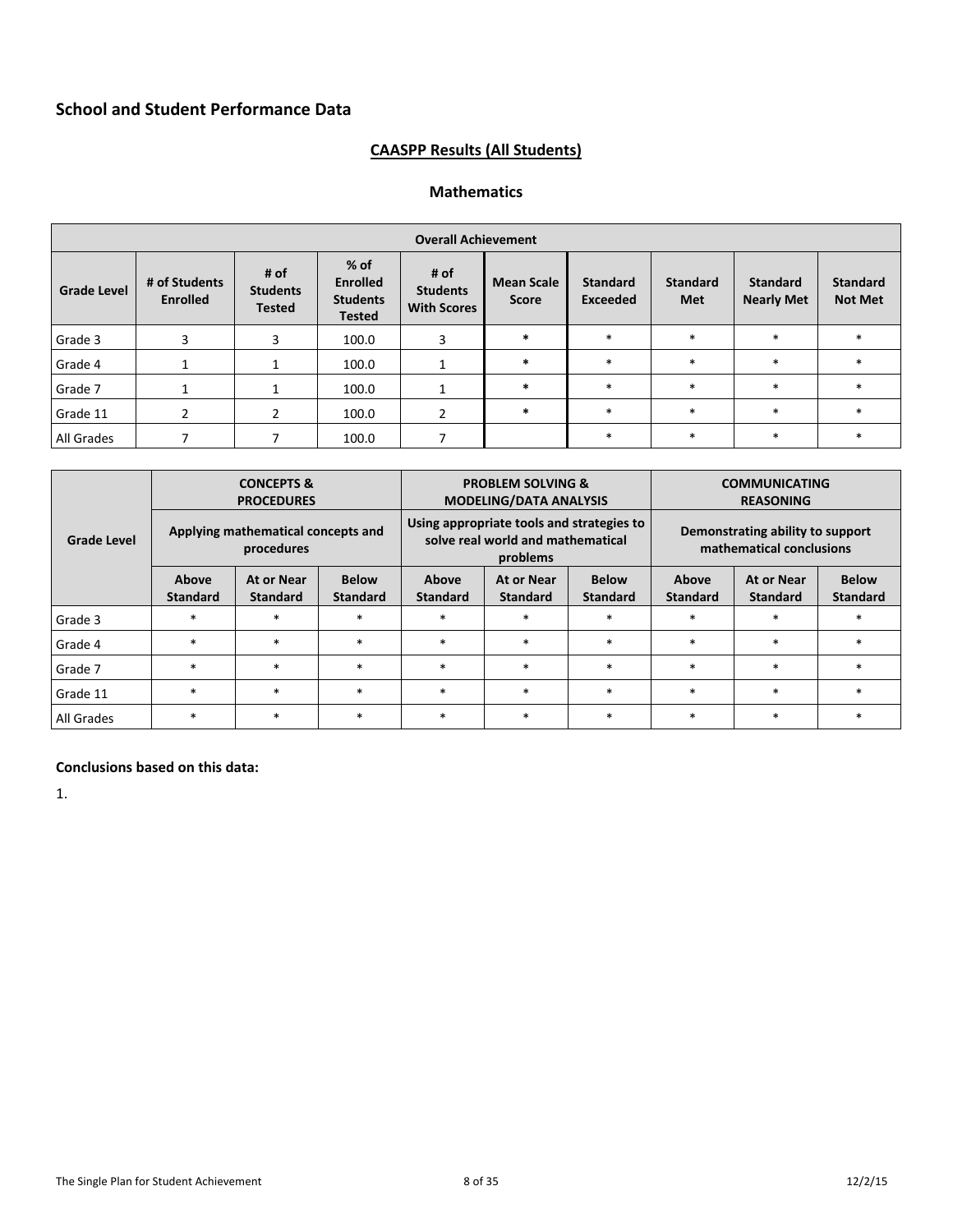# **CAASPP Results (All Students)**

# **Mathematics**

|                    | <b>Overall Achievement</b>       |                                          |                                                               |                                               |                                   |                                    |                               |                                      |                                   |  |
|--------------------|----------------------------------|------------------------------------------|---------------------------------------------------------------|-----------------------------------------------|-----------------------------------|------------------------------------|-------------------------------|--------------------------------------|-----------------------------------|--|
| <b>Grade Level</b> | # of Students<br><b>Enrolled</b> | # of<br><b>Students</b><br><b>Tested</b> | $%$ of<br><b>Enrolled</b><br><b>Students</b><br><b>Tested</b> | # of<br><b>Students</b><br><b>With Scores</b> | <b>Mean Scale</b><br><b>Score</b> | <b>Standard</b><br><b>Exceeded</b> | <b>Standard</b><br><b>Met</b> | <b>Standard</b><br><b>Nearly Met</b> | <b>Standard</b><br><b>Not Met</b> |  |
| Grade 3            | 3                                | 3                                        | 100.0                                                         | 3                                             | $\ast$                            | $\ast$                             | $\ast$                        | $\ast$                               |                                   |  |
| Grade 4            |                                  |                                          | 100.0                                                         |                                               | $\ast$                            | $\ast$                             | $\ast$                        | $\ast$                               |                                   |  |
| Grade 7            |                                  |                                          | 100.0                                                         |                                               | $\ast$                            | $\ast$                             | $\ast$                        | $\ast$                               |                                   |  |
| Grade 11           |                                  |                                          | 100.0                                                         | 2                                             | $\ast$                            | $\ast$                             | $\ast$                        | $\ast$                               |                                   |  |
| All Grades         |                                  |                                          | 100.0                                                         |                                               |                                   | $\ast$                             | $\ast$                        | $\ast$                               | $\ast$                            |  |

|                                                                           | <b>CONCEPTS &amp;</b><br><b>PROCEDURES</b>       |        |                 |                                                                                              | <b>PROBLEM SOLVING &amp;</b><br><b>MODELING/DATA ANALYSIS</b>                              |        | <b>COMMUNICATING</b><br><b>REASONING</b>                     |                               |                                 |  |
|---------------------------------------------------------------------------|--------------------------------------------------|--------|-----------------|----------------------------------------------------------------------------------------------|--------------------------------------------------------------------------------------------|--------|--------------------------------------------------------------|-------------------------------|---------------------------------|--|
| <b>Grade Level</b>                                                        | Applying mathematical concepts and<br>procedures |        |                 |                                                                                              | Using appropriate tools and strategies to<br>solve real world and mathematical<br>problems |        | Demonstrating ability to support<br>mathematical conclusions |                               |                                 |  |
| <b>Below</b><br>Above<br>At or Near<br><b>Standard</b><br><b>Standard</b> |                                                  |        | <b>Standard</b> | <b>Below</b><br>Above<br>At or Near<br><b>Standard</b><br><b>Standard</b><br><b>Standard</b> |                                                                                            |        | Above<br><b>Standard</b>                                     | At or Near<br><b>Standard</b> | <b>Below</b><br><b>Standard</b> |  |
| Grade 3                                                                   | $\ast$                                           | $\ast$ | $\ast$          | $\ast$                                                                                       | $\ast$                                                                                     | $\ast$ | $\ast$                                                       | $\star$                       |                                 |  |
| Grade 4                                                                   | $\ast$                                           | *      | $\ast$          | $\ast$                                                                                       | $\ast$                                                                                     | $\ast$ | $*$                                                          | $\ast$                        |                                 |  |
| Grade 7                                                                   | $\ast$                                           | $\ast$ | $\ast$          | $\ast$                                                                                       | $\ast$                                                                                     | $\ast$ | $\ast$                                                       | $\star$                       |                                 |  |
| Grade 11                                                                  | $\ast$                                           | $\ast$ | $\ast$          | $\ast$                                                                                       | $\ast$                                                                                     | $\ast$ | $\ast$                                                       | $\ast$                        |                                 |  |
| All Grades                                                                | $\ast$                                           | $\ast$ | $\ast$          | $\ast$                                                                                       | $\ast$                                                                                     | $\ast$ | $*$                                                          | $\ast$                        |                                 |  |

### **Conclusions based on this data:**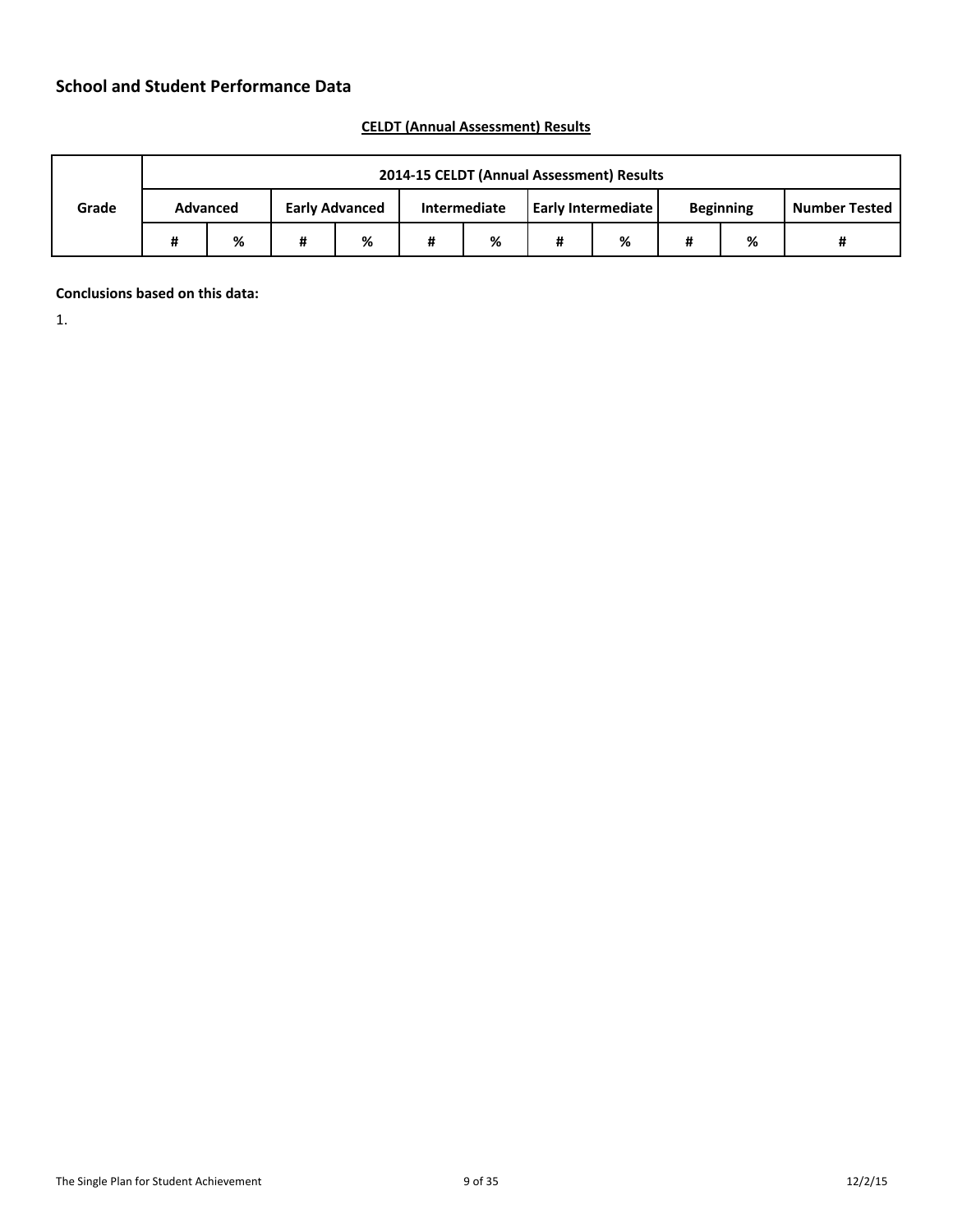|       | 2014-15 CELDT (Annual Assessment) Results |   |                       |   |              |   |                    |   |                  |                      |
|-------|-------------------------------------------|---|-----------------------|---|--------------|---|--------------------|---|------------------|----------------------|
| Grade | <b>Advanced</b>                           |   | <b>Early Advanced</b> |   | Intermediate |   | Early Intermediate |   | <b>Beginning</b> | <b>Number Tested</b> |
|       | %                                         | # | %                     | # | %            | # | %                  | # | %                |                      |

# **CELDT (Annual Assessment) Results**

**Conclusions based on this data:**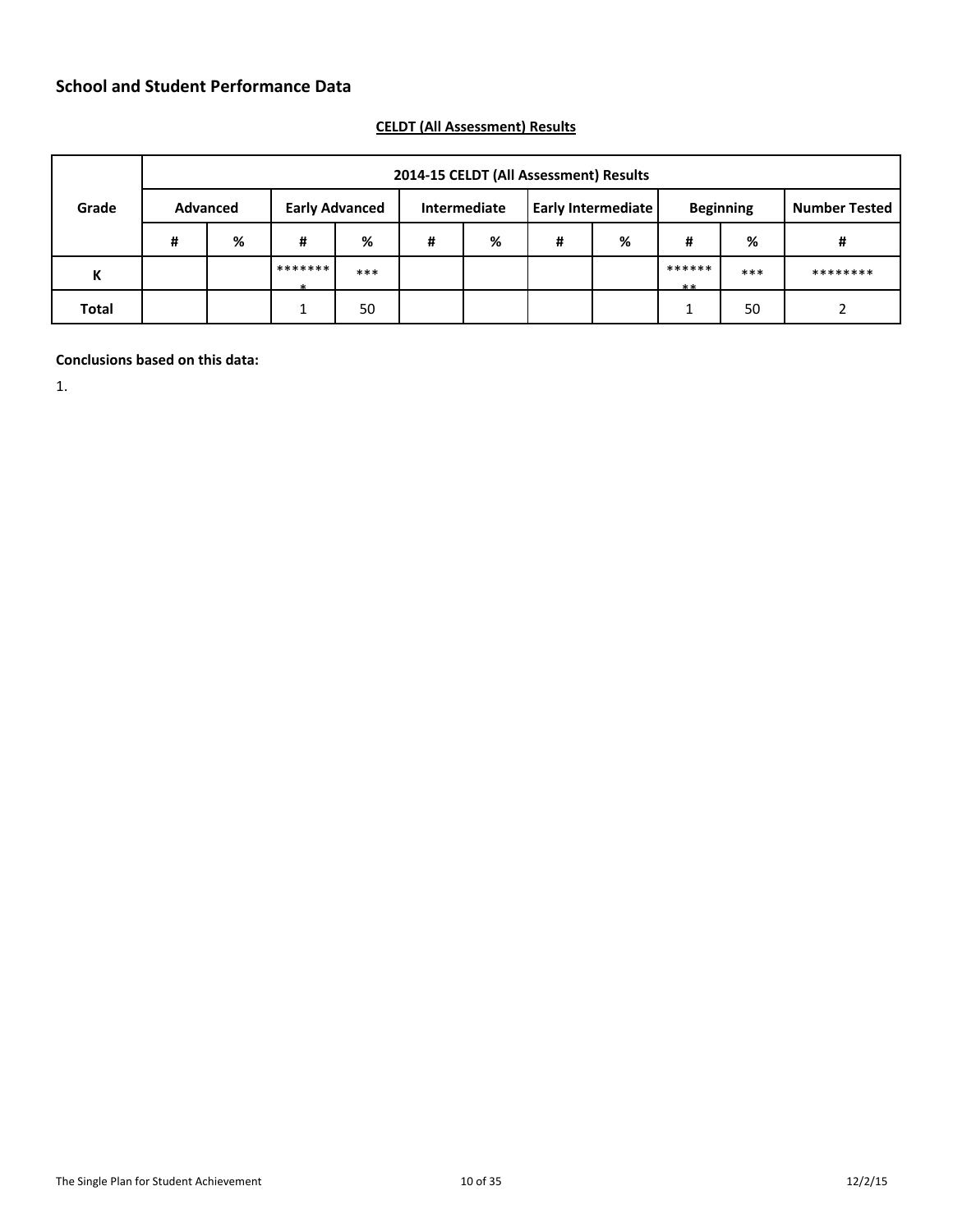|              | 2014-15 CELDT (All Assessment) Results |                 |         |                       |   |              |   |                    |                |                  |                      |
|--------------|----------------------------------------|-----------------|---------|-----------------------|---|--------------|---|--------------------|----------------|------------------|----------------------|
| Grade        |                                        | <b>Advanced</b> |         | <b>Early Advanced</b> |   | Intermediate |   | Early Intermediate |                | <b>Beginning</b> | <b>Number Tested</b> |
|              | #                                      | %               | #       | %                     | # | %            | # | %                  | #              | %                | #                    |
| К            |                                        |                 | ******* | ***                   |   |              |   |                    | ******<br>$**$ | ***              | ********             |
| <b>Total</b> |                                        |                 | ◢       | 50                    |   |              |   |                    | ◢              | 50               |                      |

# **CELDT (All Assessment) Results**

# **Conclusions based on this data:**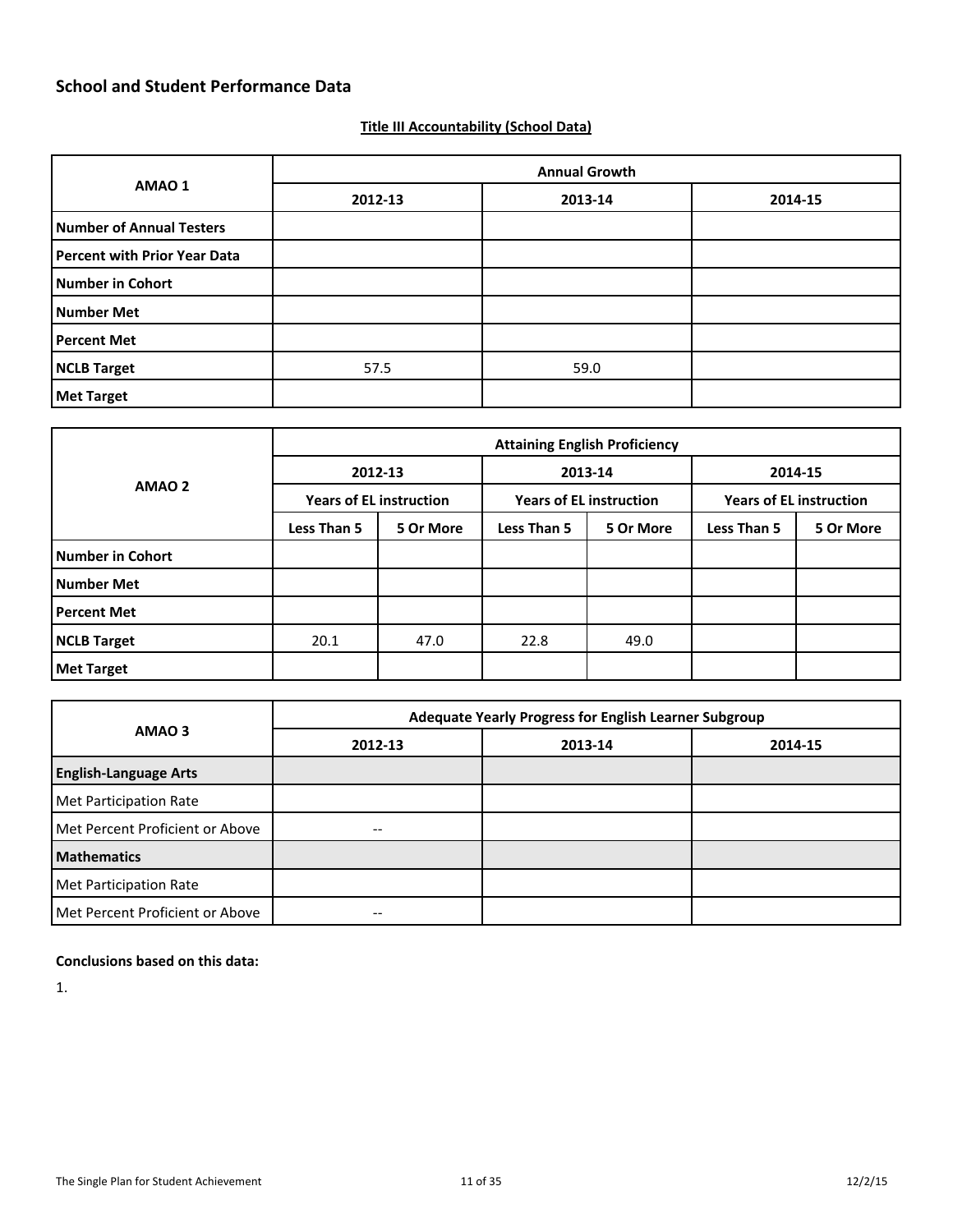# **Title III Accountability (School Data)**

|                              | <b>Annual Growth</b> |         |         |  |  |  |  |  |
|------------------------------|----------------------|---------|---------|--|--|--|--|--|
| AMAO 1                       | 2012-13              | 2013-14 | 2014-15 |  |  |  |  |  |
| Number of Annual Testers     |                      |         |         |  |  |  |  |  |
| Percent with Prior Year Data |                      |         |         |  |  |  |  |  |
| Number in Cohort             |                      |         |         |  |  |  |  |  |
| Number Met                   |                      |         |         |  |  |  |  |  |
| Percent Met                  |                      |         |         |  |  |  |  |  |
| NCLB Target                  | 57.5                 | 59.0    |         |  |  |  |  |  |
| <b>Met Target</b>            |                      |         |         |  |  |  |  |  |

|                    | <b>Attaining English Proficiency</b> |                                |                    |                                |                                |           |  |  |  |  |
|--------------------|--------------------------------------|--------------------------------|--------------------|--------------------------------|--------------------------------|-----------|--|--|--|--|
| AMAO <sub>2</sub>  |                                      | 2012-13                        |                    | 2013-14                        | 2014-15                        |           |  |  |  |  |
|                    |                                      | <b>Years of EL instruction</b> |                    | <b>Years of EL instruction</b> | <b>Years of EL instruction</b> |           |  |  |  |  |
|                    | Less Than 5                          | 5 Or More                      | <b>Less Than 5</b> | 5 Or More                      | Less Than 5                    | 5 Or More |  |  |  |  |
| Number in Cohort   |                                      |                                |                    |                                |                                |           |  |  |  |  |
| Number Met         |                                      |                                |                    |                                |                                |           |  |  |  |  |
| <b>Percent Met</b> |                                      |                                |                    |                                |                                |           |  |  |  |  |
| NCLB Target        | 20.1                                 | 47.0                           | 22.8               | 49.0                           |                                |           |  |  |  |  |
| <b>Met Target</b>  |                                      |                                |                    |                                |                                |           |  |  |  |  |

|                                 |         | Adequate Yearly Progress for English Learner Subgroup |         |  |  |  |  |  |  |  |
|---------------------------------|---------|-------------------------------------------------------|---------|--|--|--|--|--|--|--|
| AMAO <sub>3</sub>               | 2012-13 | 2013-14                                               | 2014-15 |  |  |  |  |  |  |  |
| <b>English-Language Arts</b>    |         |                                                       |         |  |  |  |  |  |  |  |
| Met Participation Rate          |         |                                                       |         |  |  |  |  |  |  |  |
| Met Percent Proficient or Above |         |                                                       |         |  |  |  |  |  |  |  |
| <b>Mathematics</b>              |         |                                                       |         |  |  |  |  |  |  |  |
| Met Participation Rate          |         |                                                       |         |  |  |  |  |  |  |  |
| Met Percent Proficient or Above |         |                                                       |         |  |  |  |  |  |  |  |

# **Conclusions based on this data:**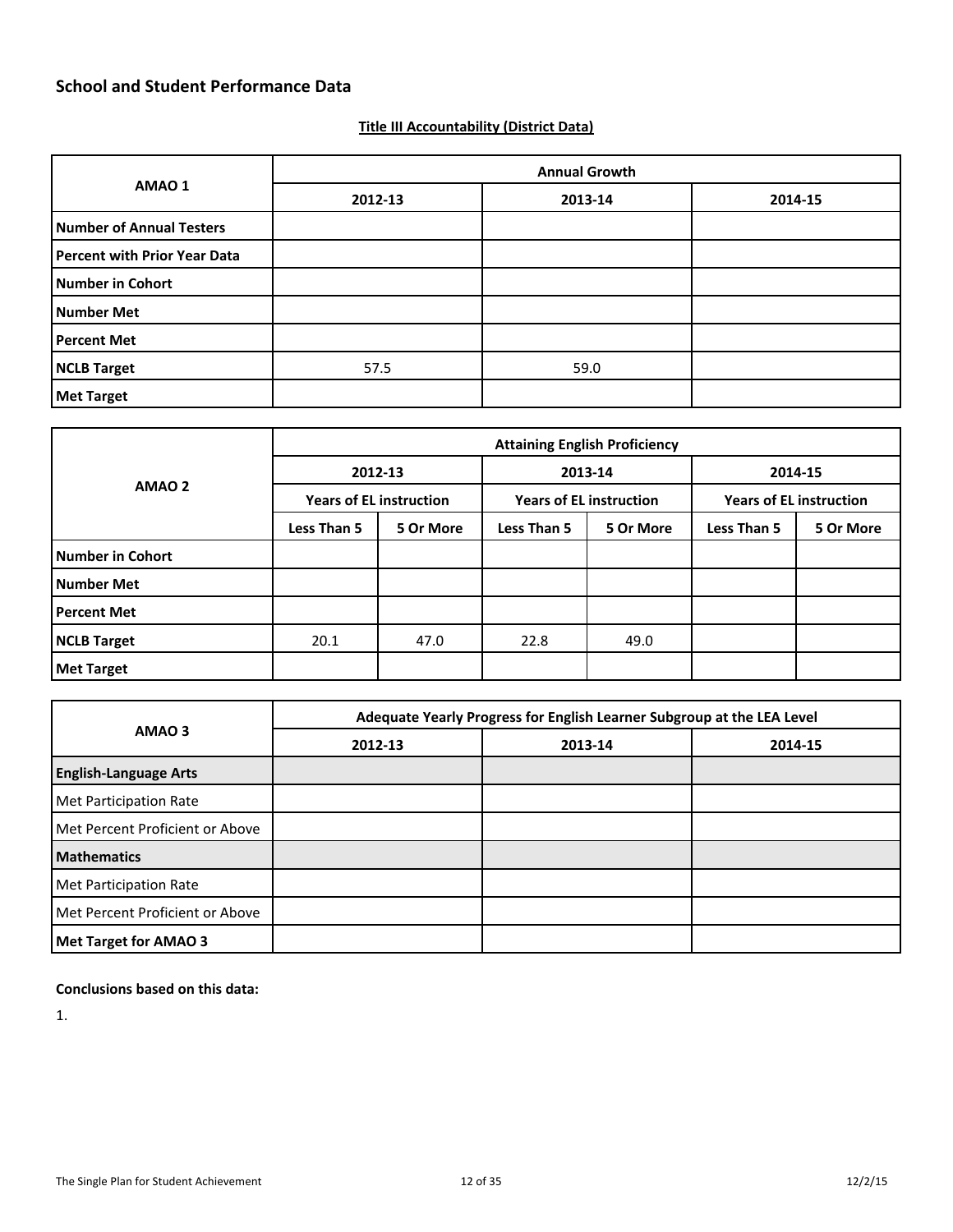### **Title III Accountability (District Data)**

| AMAO 1                              | <b>Annual Growth</b> |         |         |  |  |  |  |
|-------------------------------------|----------------------|---------|---------|--|--|--|--|
|                                     | 2012-13              | 2013-14 | 2014-15 |  |  |  |  |
| <b>Number of Annual Testers</b>     |                      |         |         |  |  |  |  |
| <b>Percent with Prior Year Data</b> |                      |         |         |  |  |  |  |
| <b>Number in Cohort</b>             |                      |         |         |  |  |  |  |
| <b>Number Met</b>                   |                      |         |         |  |  |  |  |
| <b>Percent Met</b>                  |                      |         |         |  |  |  |  |
| <b>NCLB Target</b>                  | 57.5                 | 59.0    |         |  |  |  |  |
| <b>Met Target</b>                   |                      |         |         |  |  |  |  |

| AMAO <sub>2</sub>  | <b>Attaining English Proficiency</b> |           |                                |           |                                |           |  |  |
|--------------------|--------------------------------------|-----------|--------------------------------|-----------|--------------------------------|-----------|--|--|
|                    |                                      | 2012-13   |                                | 2013-14   |                                | 2014-15   |  |  |
|                    | <b>Years of EL instruction</b>       |           | <b>Years of EL instruction</b> |           | <b>Years of EL instruction</b> |           |  |  |
|                    | Less Than 5                          | 5 Or More | <b>Less Than 5</b>             | 5 Or More | Less Than 5                    | 5 Or More |  |  |
| Number in Cohort   |                                      |           |                                |           |                                |           |  |  |
| Number Met         |                                      |           |                                |           |                                |           |  |  |
| <b>Percent Met</b> |                                      |           |                                |           |                                |           |  |  |
| NCLB Target        | 20.1                                 | 47.0      | 22.8                           | 49.0      |                                |           |  |  |
| <b>Met Target</b>  |                                      |           |                                |           |                                |           |  |  |

| AMAO <sub>3</sub>               | Adequate Yearly Progress for English Learner Subgroup at the LEA Level |         |         |  |  |  |  |
|---------------------------------|------------------------------------------------------------------------|---------|---------|--|--|--|--|
|                                 | 2012-13                                                                | 2013-14 | 2014-15 |  |  |  |  |
| <b>English-Language Arts</b>    |                                                                        |         |         |  |  |  |  |
| Met Participation Rate          |                                                                        |         |         |  |  |  |  |
| Met Percent Proficient or Above |                                                                        |         |         |  |  |  |  |
| <b>Mathematics</b>              |                                                                        |         |         |  |  |  |  |
| Met Participation Rate          |                                                                        |         |         |  |  |  |  |
| Met Percent Proficient or Above |                                                                        |         |         |  |  |  |  |
| <b>Met Target for AMAO 3</b>    |                                                                        |         |         |  |  |  |  |

**Conclusions based on this data:**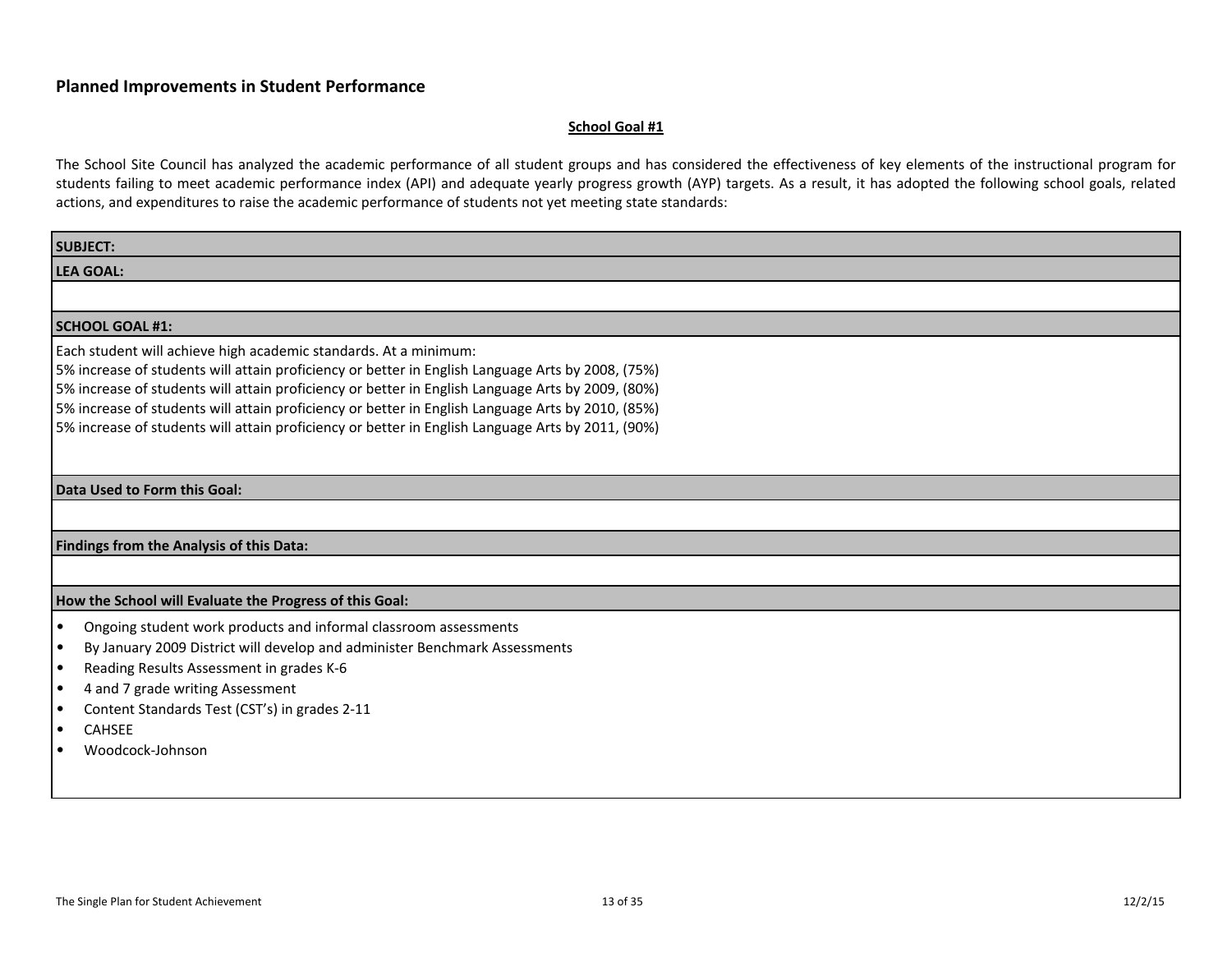#### **School Goal #1**

| <b>SUBJECT:</b>                                                                                                                                                                                                                                                                                                                                                                                                                                                                      |
|--------------------------------------------------------------------------------------------------------------------------------------------------------------------------------------------------------------------------------------------------------------------------------------------------------------------------------------------------------------------------------------------------------------------------------------------------------------------------------------|
| <b>LEA GOAL:</b>                                                                                                                                                                                                                                                                                                                                                                                                                                                                     |
|                                                                                                                                                                                                                                                                                                                                                                                                                                                                                      |
| <b>SCHOOL GOAL #1:</b>                                                                                                                                                                                                                                                                                                                                                                                                                                                               |
| Each student will achieve high academic standards. At a minimum:<br>5% increase of students will attain proficiency or better in English Language Arts by 2008, (75%)<br>5% increase of students will attain proficiency or better in English Language Arts by 2009, (80%)<br>5% increase of students will attain proficiency or better in English Language Arts by 2010, (85%)<br>5% increase of students will attain proficiency or better in English Language Arts by 2011, (90%) |
| Data Used to Form this Goal:                                                                                                                                                                                                                                                                                                                                                                                                                                                         |
|                                                                                                                                                                                                                                                                                                                                                                                                                                                                                      |
| Findings from the Analysis of this Data:                                                                                                                                                                                                                                                                                                                                                                                                                                             |
|                                                                                                                                                                                                                                                                                                                                                                                                                                                                                      |
| How the School will Evaluate the Progress of this Goal:                                                                                                                                                                                                                                                                                                                                                                                                                              |
| Ongoing student work products and informal classroom assessments<br>$\bullet$<br>By January 2009 District will develop and administer Benchmark Assessments<br>$\bullet$<br>Reading Results Assessment in grades K-6<br>$\bullet$<br>4 and 7 grade writing Assessment<br>$\bullet$<br>Content Standards Test (CST's) in grades 2-11<br><b>CAHSEE</b><br>٠<br>Woodcock-Johnson                                                                                                        |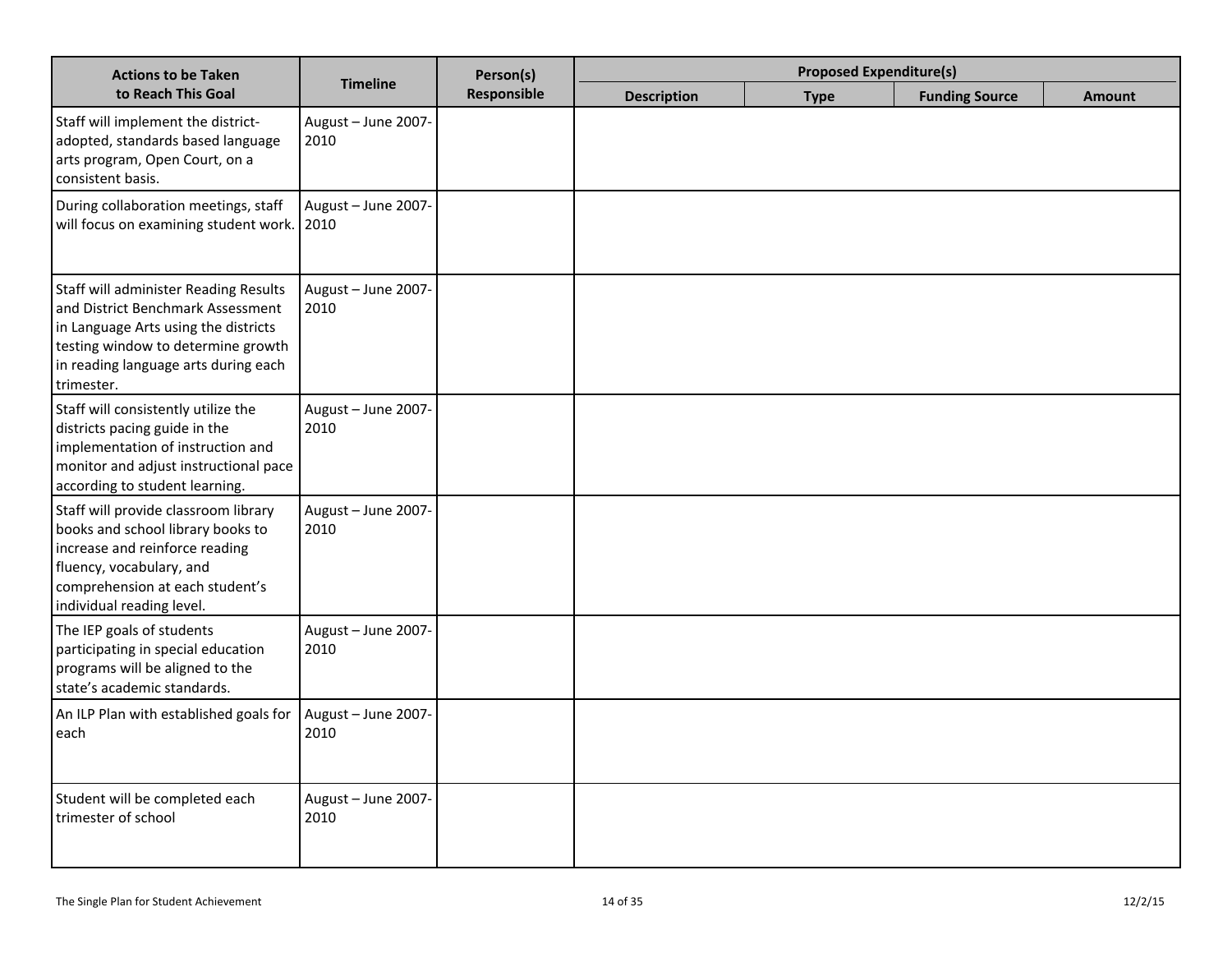| <b>Actions to be Taken</b>                                                                                                                                                                                            |                             | Person(s)   |                    | <b>Proposed Expenditure(s)</b> |                       |               |
|-----------------------------------------------------------------------------------------------------------------------------------------------------------------------------------------------------------------------|-----------------------------|-------------|--------------------|--------------------------------|-----------------------|---------------|
| to Reach This Goal                                                                                                                                                                                                    | <b>Timeline</b>             | Responsible | <b>Description</b> | <b>Type</b>                    | <b>Funding Source</b> | <b>Amount</b> |
| Staff will implement the district-<br>adopted, standards based language<br>arts program, Open Court, on a<br>consistent basis.                                                                                        | August - June 2007-<br>2010 |             |                    |                                |                       |               |
| During collaboration meetings, staff<br>will focus on examining student work.                                                                                                                                         | August - June 2007-<br>2010 |             |                    |                                |                       |               |
| <b>Staff will administer Reading Results</b><br>and District Benchmark Assessment<br>in Language Arts using the districts<br>testing window to determine growth<br>in reading language arts during each<br>trimester. | August - June 2007-<br>2010 |             |                    |                                |                       |               |
| Staff will consistently utilize the<br>districts pacing guide in the<br>implementation of instruction and<br>monitor and adjust instructional pace<br>according to student learning.                                  | August - June 2007-<br>2010 |             |                    |                                |                       |               |
| Staff will provide classroom library<br>books and school library books to<br>increase and reinforce reading<br>fluency, vocabulary, and<br>comprehension at each student's<br>individual reading level.               | August - June 2007-<br>2010 |             |                    |                                |                       |               |
| The IEP goals of students<br>participating in special education<br>programs will be aligned to the<br>state's academic standards.                                                                                     | August - June 2007-<br>2010 |             |                    |                                |                       |               |
| An ILP Plan with established goals for<br>each                                                                                                                                                                        | August - June 2007-<br>2010 |             |                    |                                |                       |               |
| Student will be completed each<br>trimester of school                                                                                                                                                                 | August - June 2007-<br>2010 |             |                    |                                |                       |               |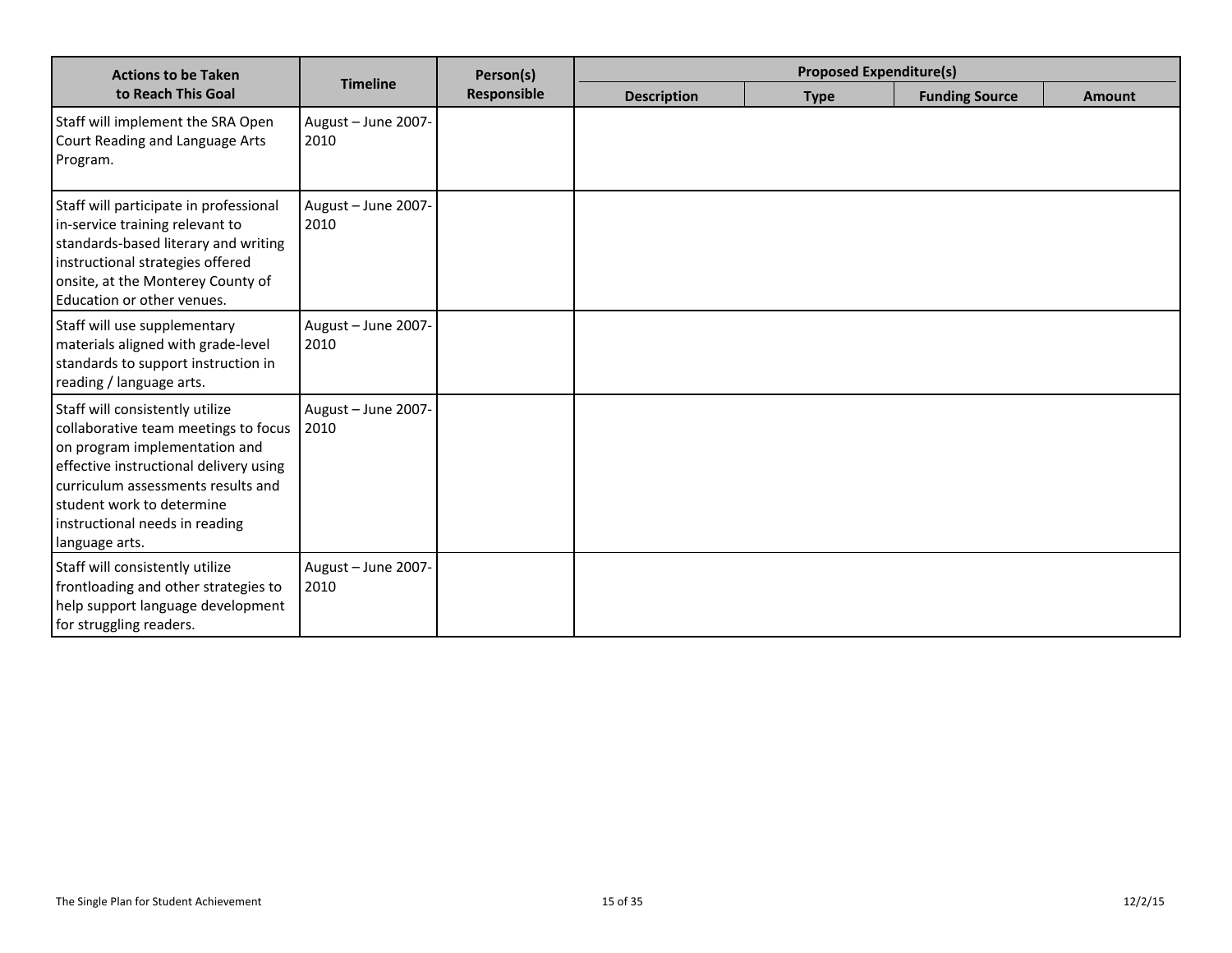| <b>Actions to be Taken</b>                                                                                                                                                                                                                                                |                             | Person(s)   | <b>Proposed Expenditure(s)</b> |             |                       |               |
|---------------------------------------------------------------------------------------------------------------------------------------------------------------------------------------------------------------------------------------------------------------------------|-----------------------------|-------------|--------------------------------|-------------|-----------------------|---------------|
| to Reach This Goal                                                                                                                                                                                                                                                        | <b>Timeline</b>             | Responsible | <b>Description</b>             | <b>Type</b> | <b>Funding Source</b> | <b>Amount</b> |
| Staff will implement the SRA Open<br>Court Reading and Language Arts<br>Program.                                                                                                                                                                                          | August - June 2007-<br>2010 |             |                                |             |                       |               |
| Staff will participate in professional<br>in-service training relevant to<br>standards-based literary and writing<br>instructional strategies offered<br>onsite, at the Monterey County of<br>Education or other venues.                                                  | August - June 2007-<br>2010 |             |                                |             |                       |               |
| Staff will use supplementary<br>materials aligned with grade-level<br>standards to support instruction in<br>reading / language arts.                                                                                                                                     | August - June 2007-<br>2010 |             |                                |             |                       |               |
| Staff will consistently utilize<br>collaborative team meetings to focus<br>on program implementation and<br>effective instructional delivery using<br>curriculum assessments results and<br>student work to determine<br>instructional needs in reading<br>language arts. | August - June 2007-<br>2010 |             |                                |             |                       |               |
| Staff will consistently utilize<br>frontloading and other strategies to<br>help support language development<br>for struggling readers.                                                                                                                                   | August - June 2007-<br>2010 |             |                                |             |                       |               |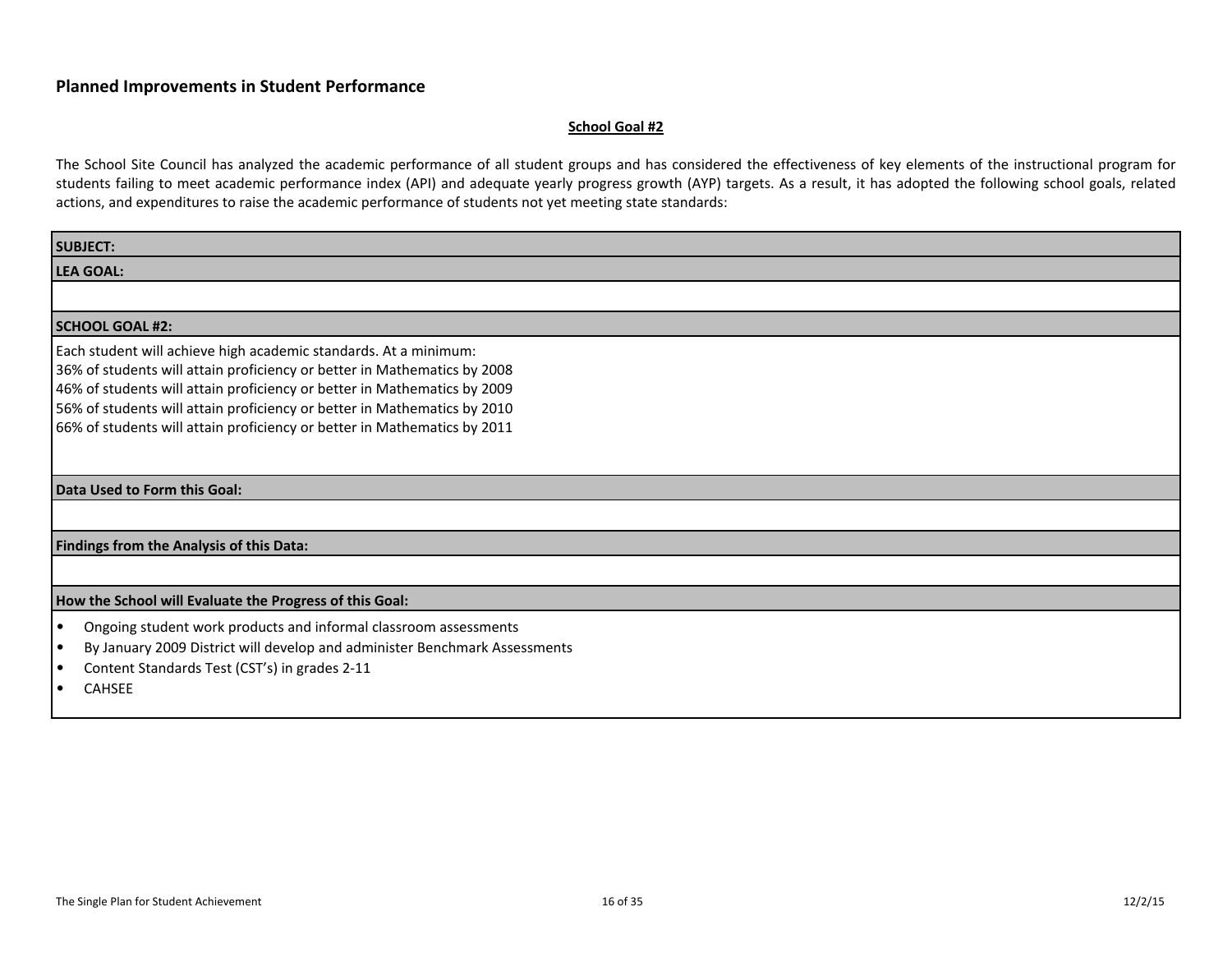#### **School Goal #2**

| <b>SUBJECT:</b>                                                                         |
|-----------------------------------------------------------------------------------------|
| <b>LEA GOAL:</b>                                                                        |
|                                                                                         |
| <b>SCHOOL GOAL #2:</b>                                                                  |
| Each student will achieve high academic standards. At a minimum:                        |
| 36% of students will attain proficiency or better in Mathematics by 2008                |
| 46% of students will attain proficiency or better in Mathematics by 2009                |
| 56% of students will attain proficiency or better in Mathematics by 2010                |
| 66% of students will attain proficiency or better in Mathematics by 2011                |
|                                                                                         |
| Data Used to Form this Goal:                                                            |
|                                                                                         |
| Findings from the Analysis of this Data:                                                |
|                                                                                         |
| How the School will Evaluate the Progress of this Goal:                                 |
| Ongoing student work products and informal classroom assessments<br>$\bullet$           |
| By January 2009 District will develop and administer Benchmark Assessments<br>$\bullet$ |
| Content Standards Test (CST's) in grades 2-11<br>$\bullet$                              |
| <b>CAHSEE</b>                                                                           |
|                                                                                         |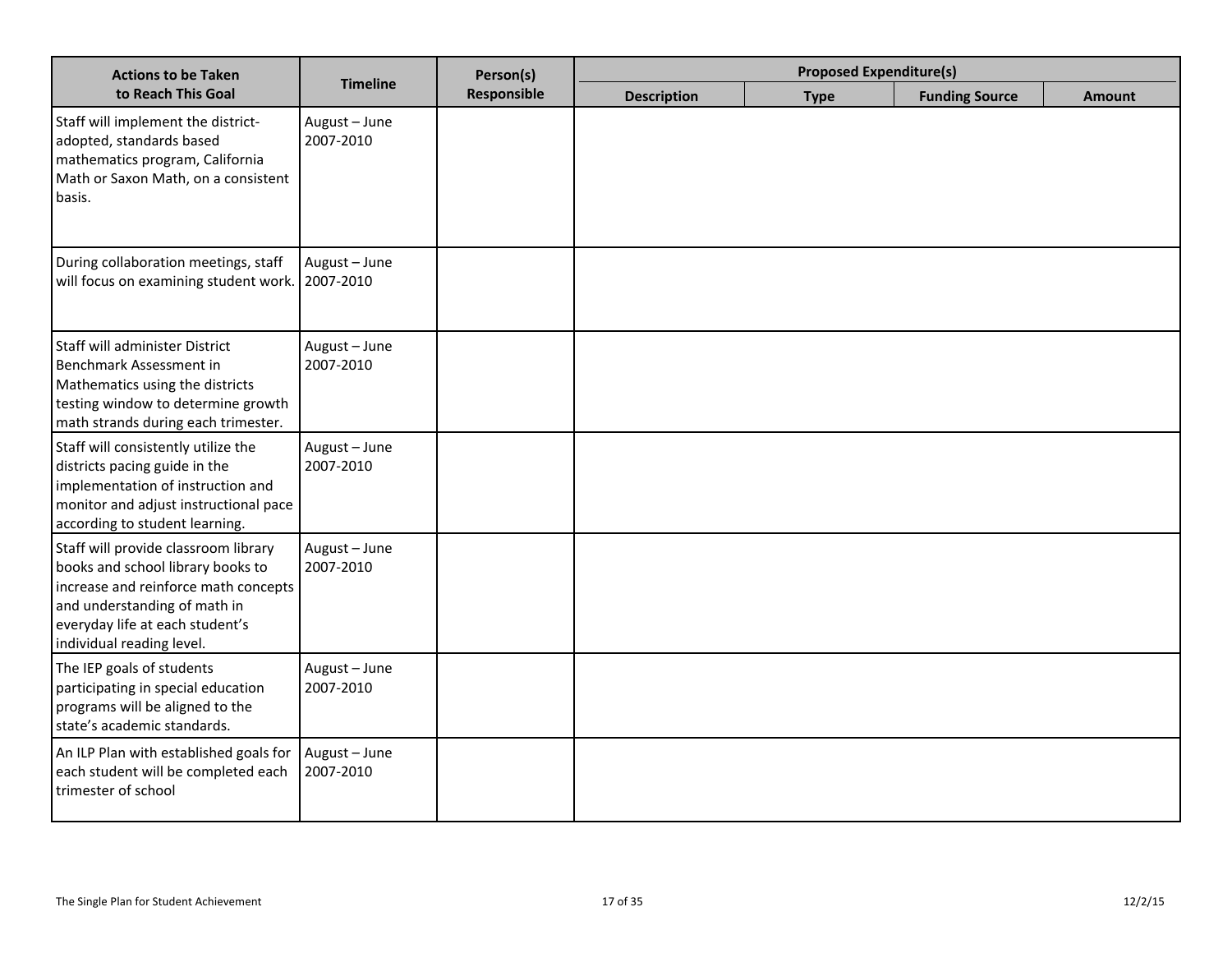| <b>Actions to be Taken</b>                                                                                                                                                                                        | <b>Timeline</b>            | Person(s)   |                    | <b>Proposed Expenditure(s)</b> |                       |               |
|-------------------------------------------------------------------------------------------------------------------------------------------------------------------------------------------------------------------|----------------------------|-------------|--------------------|--------------------------------|-----------------------|---------------|
| to Reach This Goal                                                                                                                                                                                                |                            | Responsible | <b>Description</b> | <b>Type</b>                    | <b>Funding Source</b> | <b>Amount</b> |
| Staff will implement the district-<br>adopted, standards based<br>mathematics program, California<br>Math or Saxon Math, on a consistent<br>basis.                                                                | August - June<br>2007-2010 |             |                    |                                |                       |               |
| During collaboration meetings, staff<br>will focus on examining student work.                                                                                                                                     | August - June<br>2007-2010 |             |                    |                                |                       |               |
| Staff will administer District<br>Benchmark Assessment in<br>Mathematics using the districts<br>testing window to determine growth<br>math strands during each trimester.                                         | August - June<br>2007-2010 |             |                    |                                |                       |               |
| Staff will consistently utilize the<br>districts pacing guide in the<br>implementation of instruction and<br>monitor and adjust instructional pace<br>according to student learning.                              | August - June<br>2007-2010 |             |                    |                                |                       |               |
| Staff will provide classroom library<br>books and school library books to<br>increase and reinforce math concepts<br>and understanding of math in<br>everyday life at each student's<br>individual reading level. | August - June<br>2007-2010 |             |                    |                                |                       |               |
| The IEP goals of students<br>participating in special education<br>programs will be aligned to the<br>state's academic standards.                                                                                 | August - June<br>2007-2010 |             |                    |                                |                       |               |
| An ILP Plan with established goals for<br>each student will be completed each<br>trimester of school                                                                                                              | August - June<br>2007-2010 |             |                    |                                |                       |               |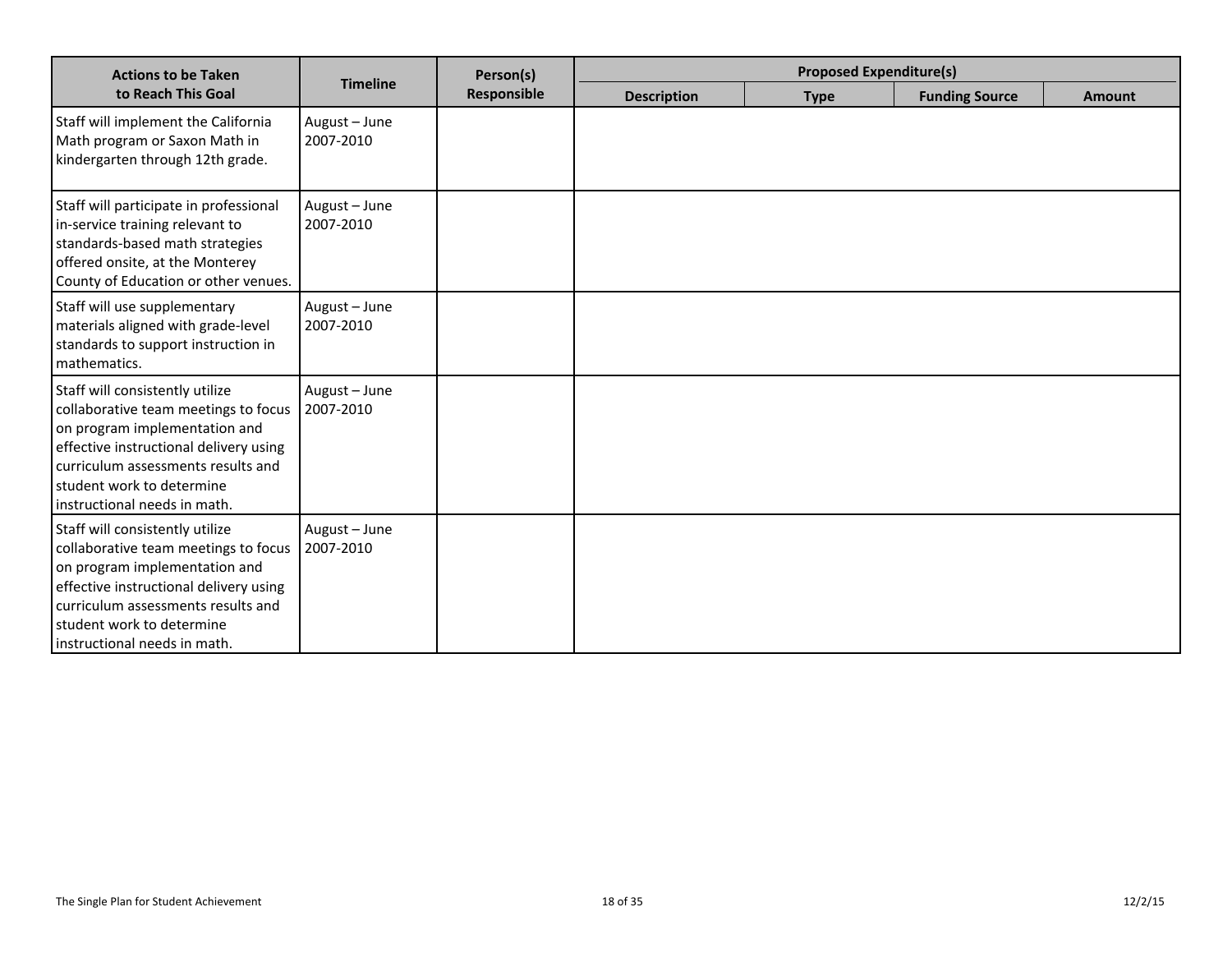| <b>Actions to be Taken</b>                                                                                                                                                                                                                            |                            | Person(s)   | <b>Proposed Expenditure(s)</b> |             |                       |               |
|-------------------------------------------------------------------------------------------------------------------------------------------------------------------------------------------------------------------------------------------------------|----------------------------|-------------|--------------------------------|-------------|-----------------------|---------------|
| to Reach This Goal                                                                                                                                                                                                                                    | <b>Timeline</b>            | Responsible | <b>Description</b>             | <b>Type</b> | <b>Funding Source</b> | <b>Amount</b> |
| Staff will implement the California<br>Math program or Saxon Math in<br>kindergarten through 12th grade.                                                                                                                                              | August - June<br>2007-2010 |             |                                |             |                       |               |
| Staff will participate in professional<br>in-service training relevant to<br>standards-based math strategies<br>offered onsite, at the Monterey<br>County of Education or other venues.                                                               | August - June<br>2007-2010 |             |                                |             |                       |               |
| Staff will use supplementary<br>materials aligned with grade-level<br>standards to support instruction in<br>mathematics.                                                                                                                             | August - June<br>2007-2010 |             |                                |             |                       |               |
| Staff will consistently utilize<br>collaborative team meetings to focus<br>on program implementation and<br>effective instructional delivery using<br>curriculum assessments results and<br>student work to determine<br>instructional needs in math. | August - June<br>2007-2010 |             |                                |             |                       |               |
| Staff will consistently utilize<br>collaborative team meetings to focus<br>on program implementation and<br>effective instructional delivery using<br>curriculum assessments results and<br>student work to determine<br>instructional needs in math. | August - June<br>2007-2010 |             |                                |             |                       |               |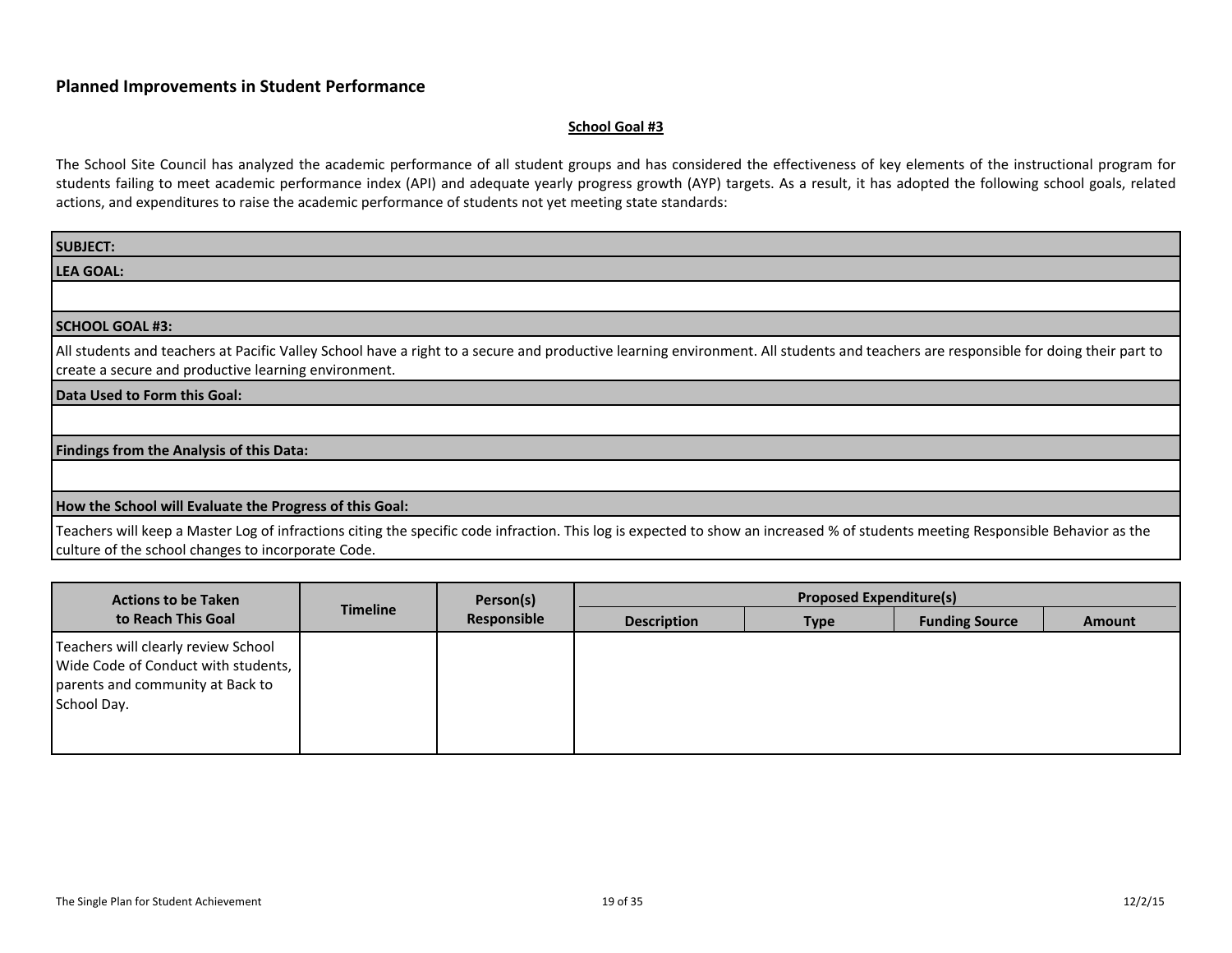#### **School Goal #3**

| <b>SUBJECT:</b>                                                                                                                                                                                                                            |
|--------------------------------------------------------------------------------------------------------------------------------------------------------------------------------------------------------------------------------------------|
| <b>LEA GOAL:</b>                                                                                                                                                                                                                           |
|                                                                                                                                                                                                                                            |
| <b>SCHOOL GOAL #3:</b>                                                                                                                                                                                                                     |
| All students and teachers at Pacific Valley School have a right to a secure and productive learning environment. All students and teachers are responsible for doing their part to<br>create a secure and productive learning environment. |
| Data Used to Form this Goal:                                                                                                                                                                                                               |
|                                                                                                                                                                                                                                            |
| <b>Findings from the Analysis of this Data:</b>                                                                                                                                                                                            |
|                                                                                                                                                                                                                                            |
| How the School will Evaluate the Progress of this Goal:                                                                                                                                                                                    |
| Teachers will keep a Master Log of infractions citing the specific code infraction. This log is expected to show an increased % of students meeting Responsible Behavior as the<br>culture of the school changes to incorporate Code.      |

| <b>Actions to be Taken</b>                                                                                                    |                 | Person(s)   |                    | <b>Proposed Expenditure(s)</b> |                       |               |
|-------------------------------------------------------------------------------------------------------------------------------|-----------------|-------------|--------------------|--------------------------------|-----------------------|---------------|
| to Reach This Goal                                                                                                            | <b>Timeline</b> | Responsible | <b>Description</b> | <b>Type</b>                    | <b>Funding Source</b> | <b>Amount</b> |
| Teachers will clearly review School<br>Wide Code of Conduct with students,<br>parents and community at Back to<br>School Day. |                 |             |                    |                                |                       |               |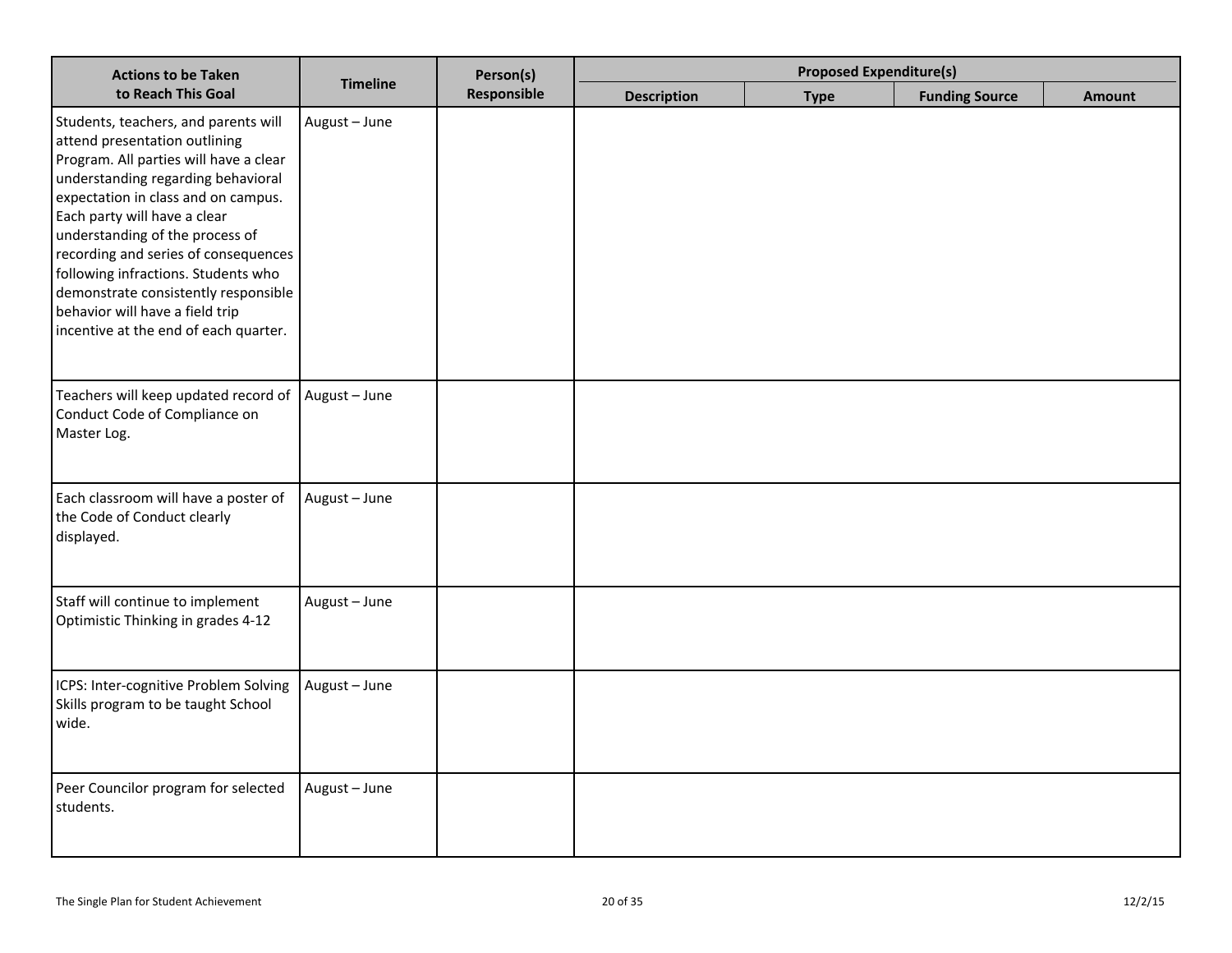| <b>Actions to be Taken</b>                                                                                                                                                                                                                                                                                                                                                                                                                                         |                 | Person(s)   | <b>Proposed Expenditure(s)</b> |             |                       |        |
|--------------------------------------------------------------------------------------------------------------------------------------------------------------------------------------------------------------------------------------------------------------------------------------------------------------------------------------------------------------------------------------------------------------------------------------------------------------------|-----------------|-------------|--------------------------------|-------------|-----------------------|--------|
| to Reach This Goal                                                                                                                                                                                                                                                                                                                                                                                                                                                 | <b>Timeline</b> | Responsible | <b>Description</b>             | <b>Type</b> | <b>Funding Source</b> | Amount |
| Students, teachers, and parents will<br>attend presentation outlining<br>Program. All parties will have a clear<br>understanding regarding behavioral<br>expectation in class and on campus.<br>Each party will have a clear<br>understanding of the process of<br>recording and series of consequences<br>following infractions. Students who<br>demonstrate consistently responsible<br>behavior will have a field trip<br>incentive at the end of each quarter. | August - June   |             |                                |             |                       |        |
| Teachers will keep updated record of<br>Conduct Code of Compliance on<br>Master Log.                                                                                                                                                                                                                                                                                                                                                                               | August - June   |             |                                |             |                       |        |
| Each classroom will have a poster of<br>the Code of Conduct clearly<br>displayed.                                                                                                                                                                                                                                                                                                                                                                                  | August - June   |             |                                |             |                       |        |
| Staff will continue to implement<br>Optimistic Thinking in grades 4-12                                                                                                                                                                                                                                                                                                                                                                                             | August - June   |             |                                |             |                       |        |
| ICPS: Inter-cognitive Problem Solving<br>Skills program to be taught School<br>wide.                                                                                                                                                                                                                                                                                                                                                                               | August - June   |             |                                |             |                       |        |
| Peer Councilor program for selected<br>students.                                                                                                                                                                                                                                                                                                                                                                                                                   | August - June   |             |                                |             |                       |        |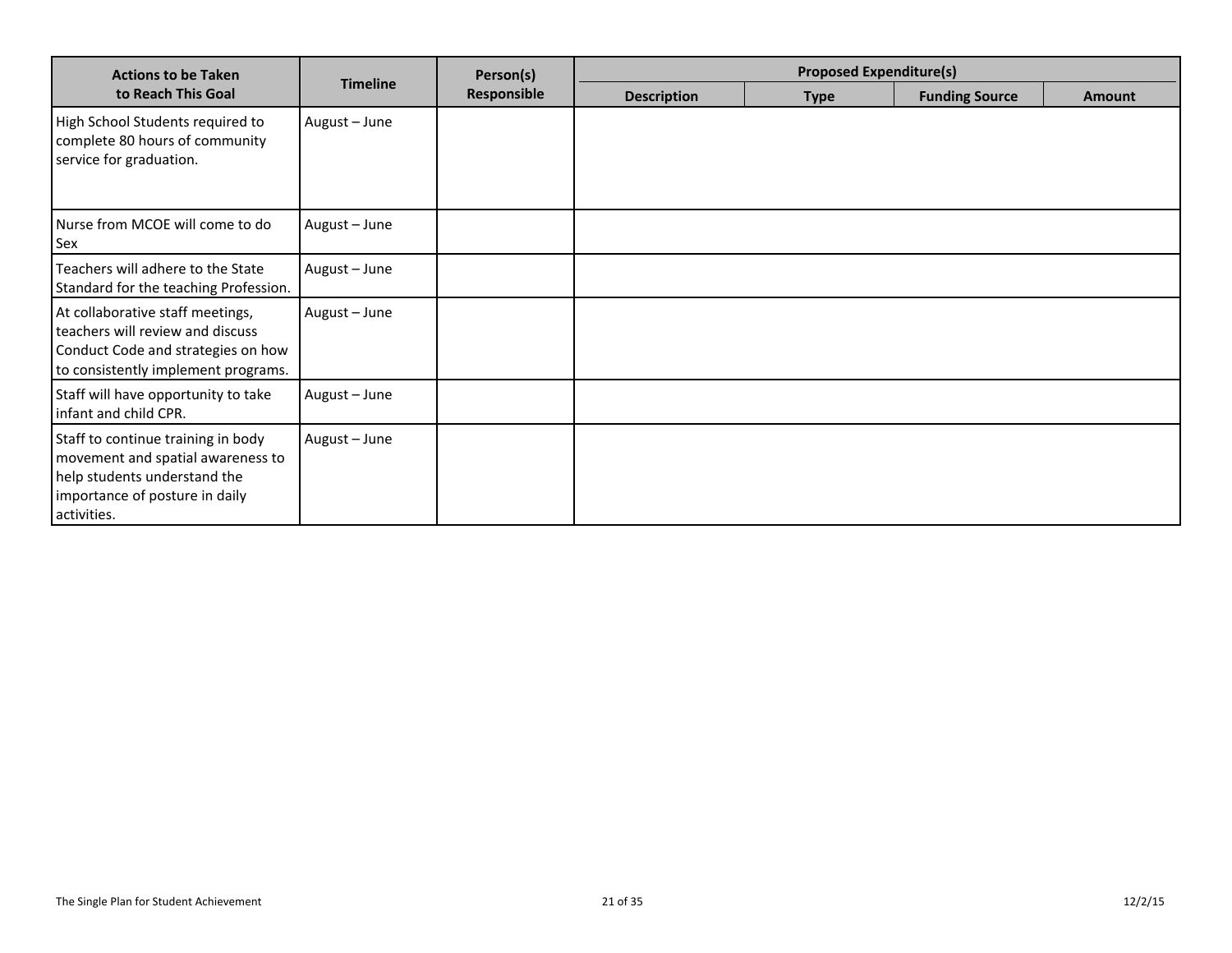| <b>Actions to be Taken</b>                                                                                                                               |                 | Person(s)   | <b>Proposed Expenditure(s)</b> |             |                       |               |  |
|----------------------------------------------------------------------------------------------------------------------------------------------------------|-----------------|-------------|--------------------------------|-------------|-----------------------|---------------|--|
| to Reach This Goal                                                                                                                                       | <b>Timeline</b> | Responsible | <b>Description</b>             | <b>Type</b> | <b>Funding Source</b> | <b>Amount</b> |  |
| High School Students required to<br>complete 80 hours of community<br>service for graduation.                                                            | August - June   |             |                                |             |                       |               |  |
| Nurse from MCOE will come to do<br><b>Sex</b>                                                                                                            | August - June   |             |                                |             |                       |               |  |
| Teachers will adhere to the State<br>Standard for the teaching Profession.                                                                               | August - June   |             |                                |             |                       |               |  |
| At collaborative staff meetings,<br>teachers will review and discuss<br>Conduct Code and strategies on how<br>to consistently implement programs.        | August - June   |             |                                |             |                       |               |  |
| Staff will have opportunity to take<br>infant and child CPR.                                                                                             | August - June   |             |                                |             |                       |               |  |
| Staff to continue training in body<br>movement and spatial awareness to<br>help students understand the<br>importance of posture in daily<br>activities. | August - June   |             |                                |             |                       |               |  |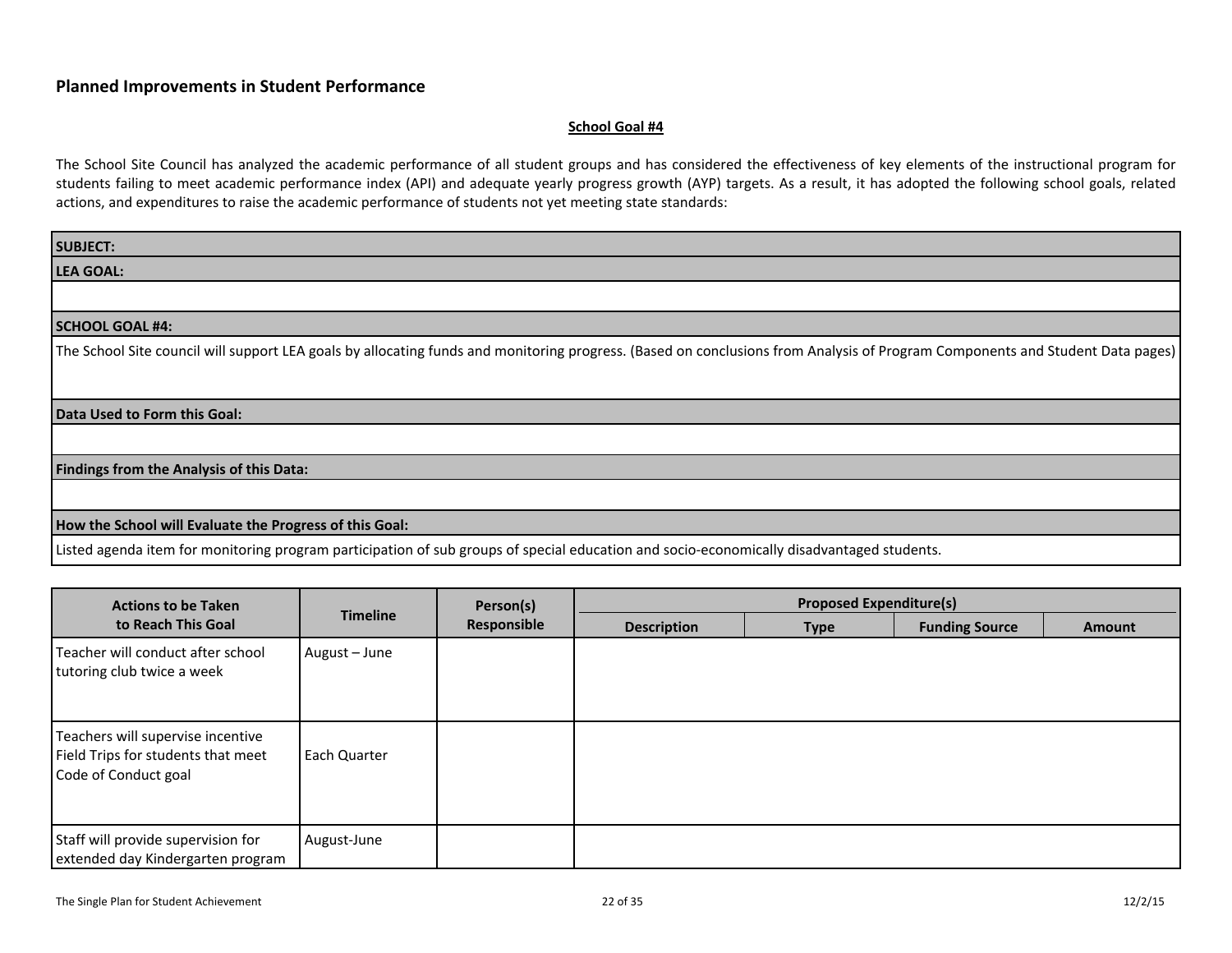#### **School Goal #4**

| <b>SUBJECT:</b>                                                                                                                                                               |
|-------------------------------------------------------------------------------------------------------------------------------------------------------------------------------|
| <b>LEA GOAL:</b>                                                                                                                                                              |
|                                                                                                                                                                               |
| <b>SCHOOL GOAL #4:</b>                                                                                                                                                        |
| The School Site council will support LEA goals by allocating funds and monitoring progress. (Based on conclusions from Analysis of Program Components and Student Data pages) |
| Data Used to Form this Goal:                                                                                                                                                  |
| Findings from the Analysis of this Data:                                                                                                                                      |
| How the School will Evaluate the Progress of this Goal:                                                                                                                       |
| Listed agenda item for monitoring program participation of sub groups of special education and socio-economically disadvantaged students.                                     |

| <b>Actions to be Taken</b>                                                                      |                 | Person(s)   |                    | <b>Proposed Expenditure(s)</b> |                       |               |
|-------------------------------------------------------------------------------------------------|-----------------|-------------|--------------------|--------------------------------|-----------------------|---------------|
| to Reach This Goal                                                                              | <b>Timeline</b> | Responsible | <b>Description</b> | <b>Type</b>                    | <b>Funding Source</b> | <b>Amount</b> |
| l Teacher will conduct after school<br>tutoring club twice a week                               | August - June   |             |                    |                                |                       |               |
| Teachers will supervise incentive<br>Field Trips for students that meet<br>Code of Conduct goal | Each Quarter    |             |                    |                                |                       |               |
| Staff will provide supervision for<br>extended day Kindergarten program                         | August-June     |             |                    |                                |                       |               |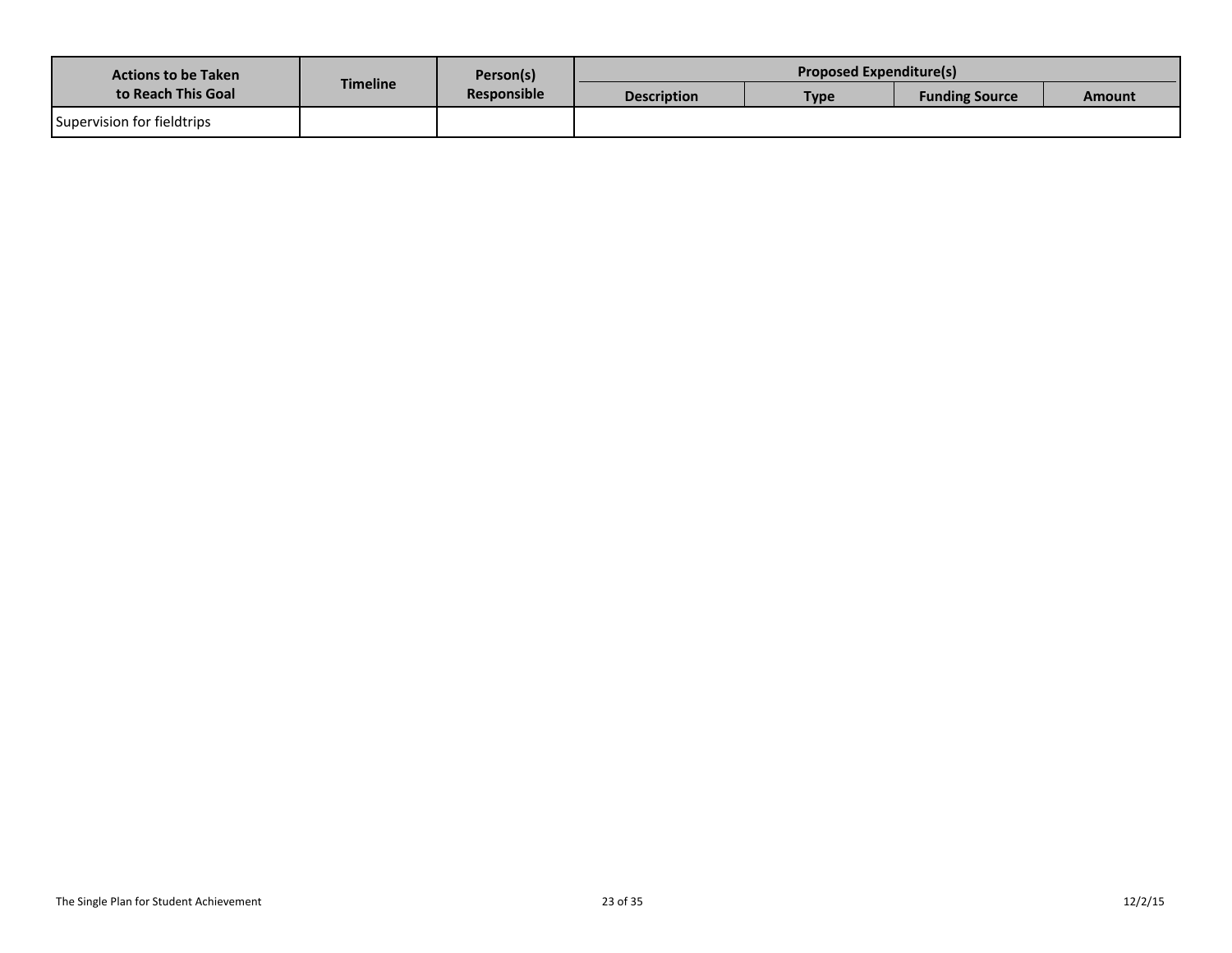| <b>Actions to be Taken</b><br>to Reach This Goal |                 | Person(s)          |                                   | <b>Proposed Expenditure(s)</b> |        |  |
|--------------------------------------------------|-----------------|--------------------|-----------------------------------|--------------------------------|--------|--|
|                                                  | <b>Timeline</b> | <b>Responsible</b> | <b>Description</b><br><b>Type</b> | <b>Funding Source</b>          | Amount |  |
| Supervision for fieldtrips                       |                 |                    |                                   |                                |        |  |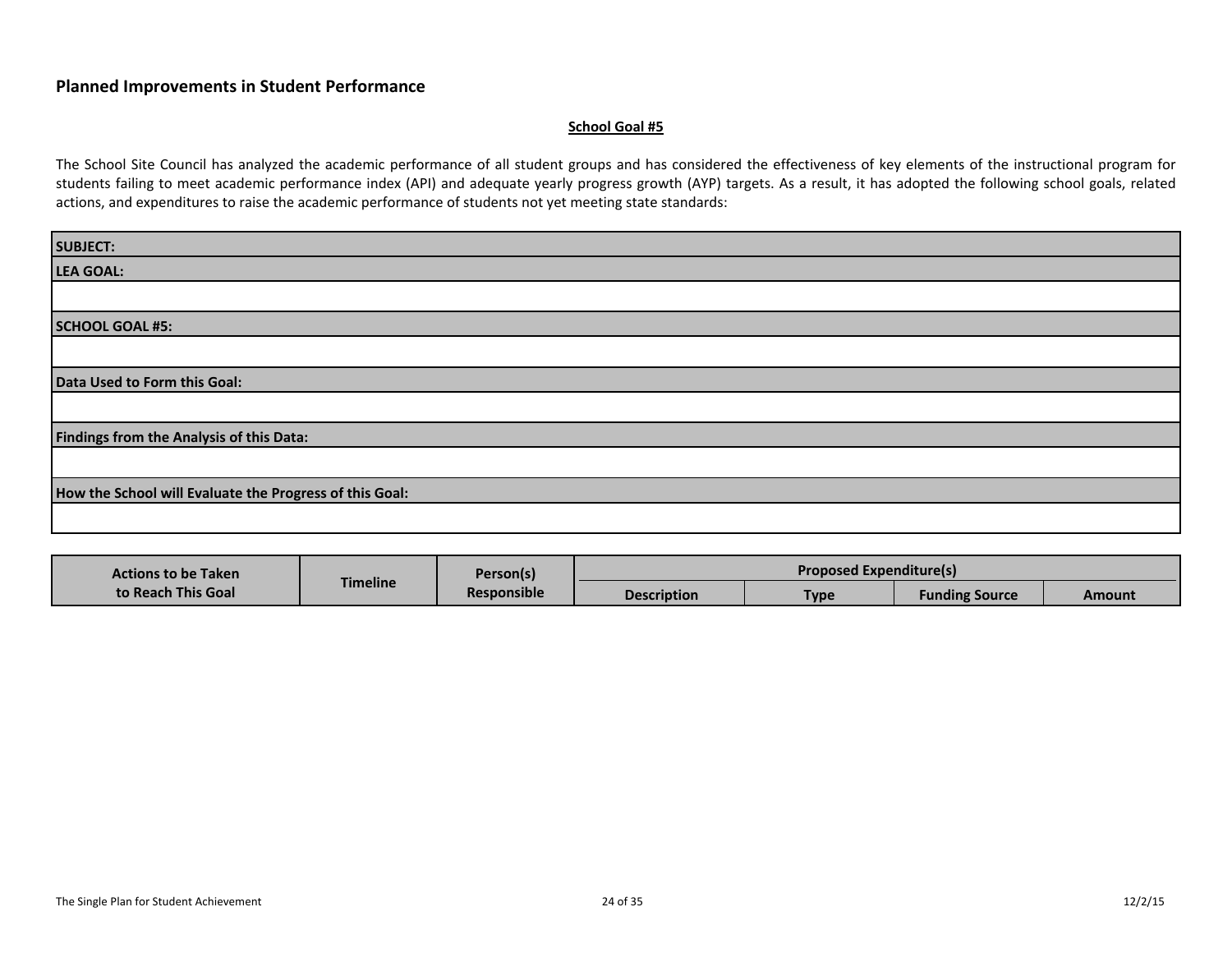#### **School Goal #5**

| <b>SUBJECT:</b>                                         |
|---------------------------------------------------------|
| <b>LEA GOAL:</b>                                        |
|                                                         |
| <b>SCHOOL GOAL #5:</b>                                  |
|                                                         |
| Data Used to Form this Goal:                            |
|                                                         |
| Findings from the Analysis of this Data:                |
|                                                         |
| How the School will Evaluate the Progress of this Goal: |
|                                                         |

| <b>Actions to be Taken</b> |                 | Person(s)          | <b>Proposed Expenditure(s)</b> |      |                       |        |
|----------------------------|-----------------|--------------------|--------------------------------|------|-----------------------|--------|
| to Reach This Goal         | <b>Timeline</b> | <b>Responsible</b> | <b>Description</b>             | Type | <b>Funding Source</b> | Amount |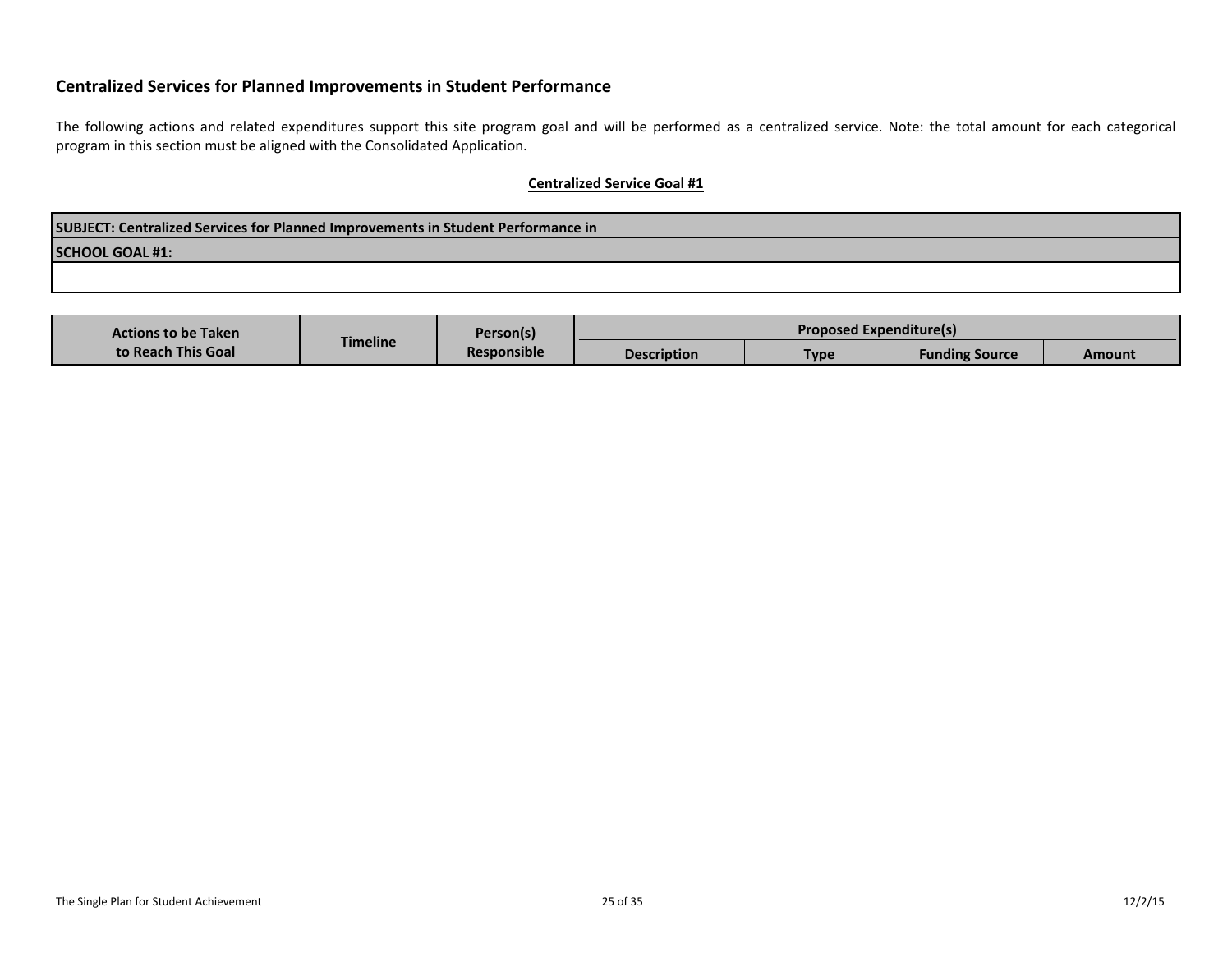The following actions and related expenditures support this site program goal and will be performed as a centralized service. Note: the total amount for each categorical program in this section must be aligned with the Consolidated Application.

| SUBJECT: Centralized Services for Planned Improvements in Student Performance in |  |  |  |  |  |  |
|----------------------------------------------------------------------------------|--|--|--|--|--|--|
| <b>SCHOOL GOAL #1:</b>                                                           |  |  |  |  |  |  |
|                                                                                  |  |  |  |  |  |  |

| <b>Actions to be Taken</b> |                 | Person(s)          | <b>Proposed Expenditure(s)</b> |             |                       |        |
|----------------------------|-----------------|--------------------|--------------------------------|-------------|-----------------------|--------|
| to Reach This Goal         | <b>Timeline</b> | <b>Responsible</b> | <b>Description</b>             | <b>Type</b> | <b>Funding Source</b> | Amount |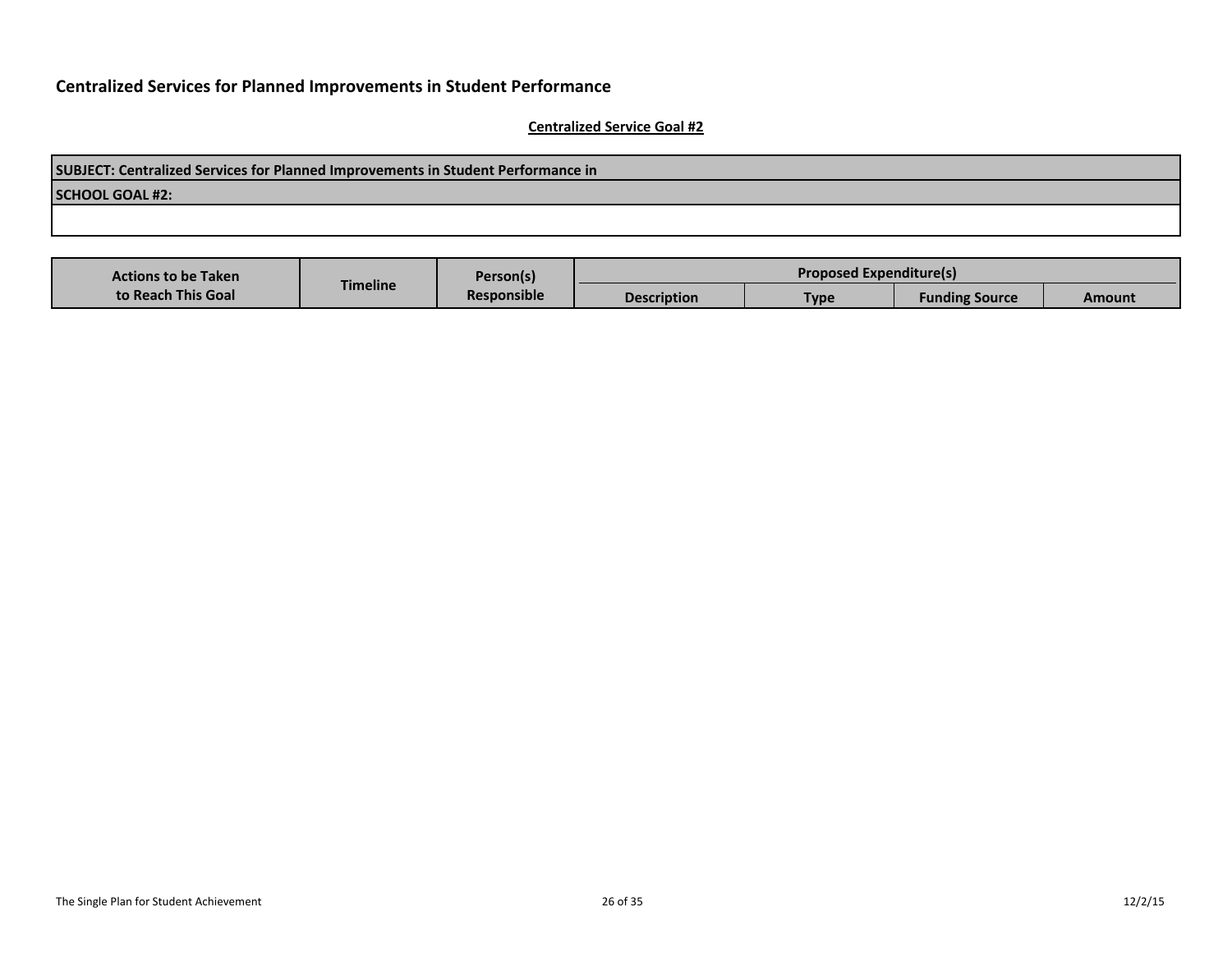| SUBJECT: Centralized Services for Planned Improvements in Student Performance in |  |  |  |  |  |  |
|----------------------------------------------------------------------------------|--|--|--|--|--|--|
| <b>SCHOOL GOAL #2:</b>                                                           |  |  |  |  |  |  |
|                                                                                  |  |  |  |  |  |  |
|                                                                                  |  |  |  |  |  |  |

| <b>Actions to be Taken</b> |                 | Person(s)          |                    | <b>Proposed Expenditure(s)</b> |                       |        |
|----------------------------|-----------------|--------------------|--------------------|--------------------------------|-----------------------|--------|
| to Reach This Goal         | <b>Timeline</b> | <b>Responsible</b> | <b>Description</b> | <b>Type</b>                    | <b>Funding Source</b> | Amount |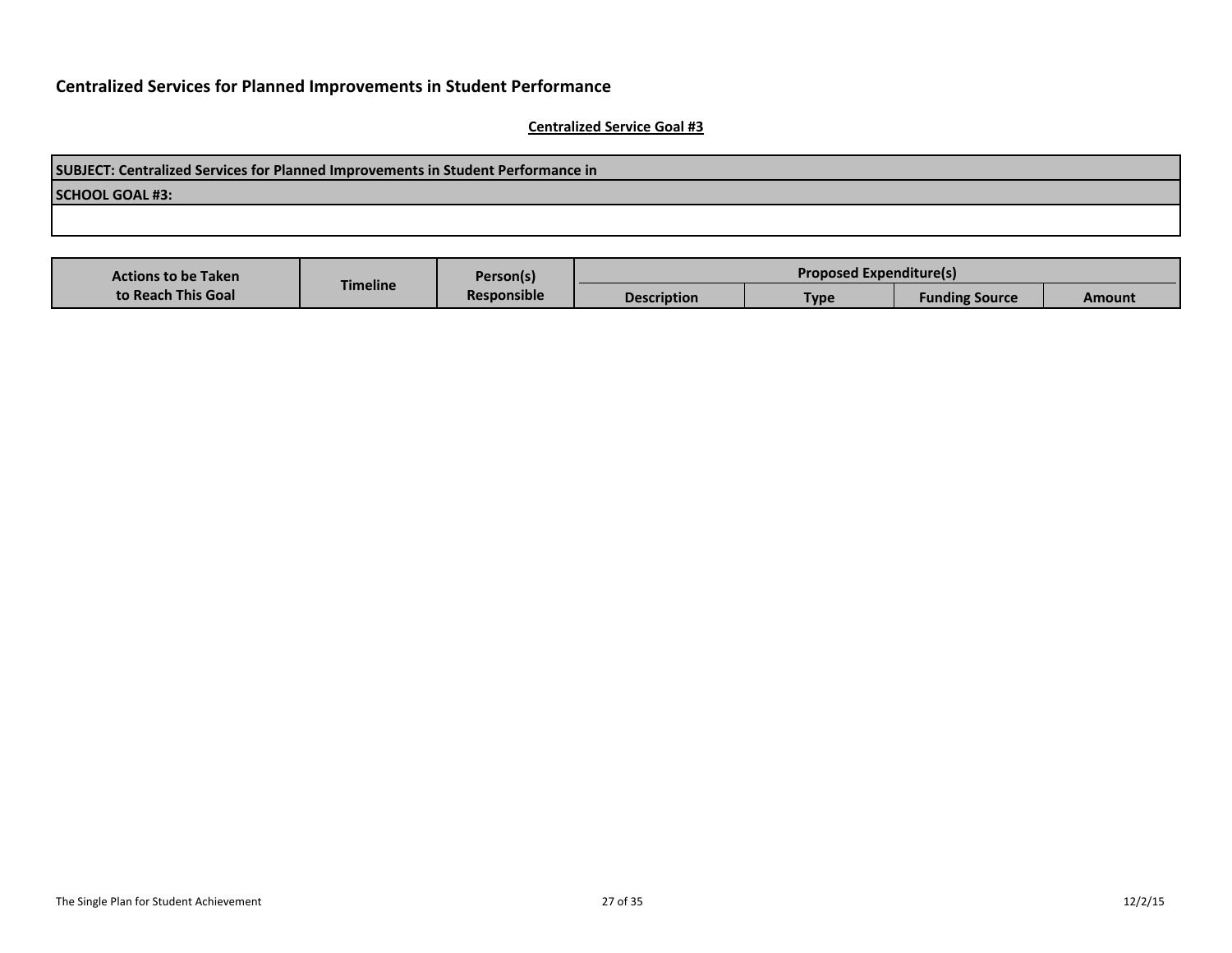| SUBJECT: Centralized Services for Planned Improvements in Student Performance in |  |  |  |  |  |  |
|----------------------------------------------------------------------------------|--|--|--|--|--|--|
| <b>SCHOOL GOAL #3:</b>                                                           |  |  |  |  |  |  |
|                                                                                  |  |  |  |  |  |  |
|                                                                                  |  |  |  |  |  |  |

| <b>Actions to be Taken</b> |                 | Person(s)          |                    | <b>Proposed Expenditure(s)</b> |                       |        |
|----------------------------|-----------------|--------------------|--------------------|--------------------------------|-----------------------|--------|
| to Reach This Goal         | <b>Timeline</b> | <b>Responsible</b> | <b>Description</b> | <b>Type</b>                    | <b>Funding Source</b> | Amount |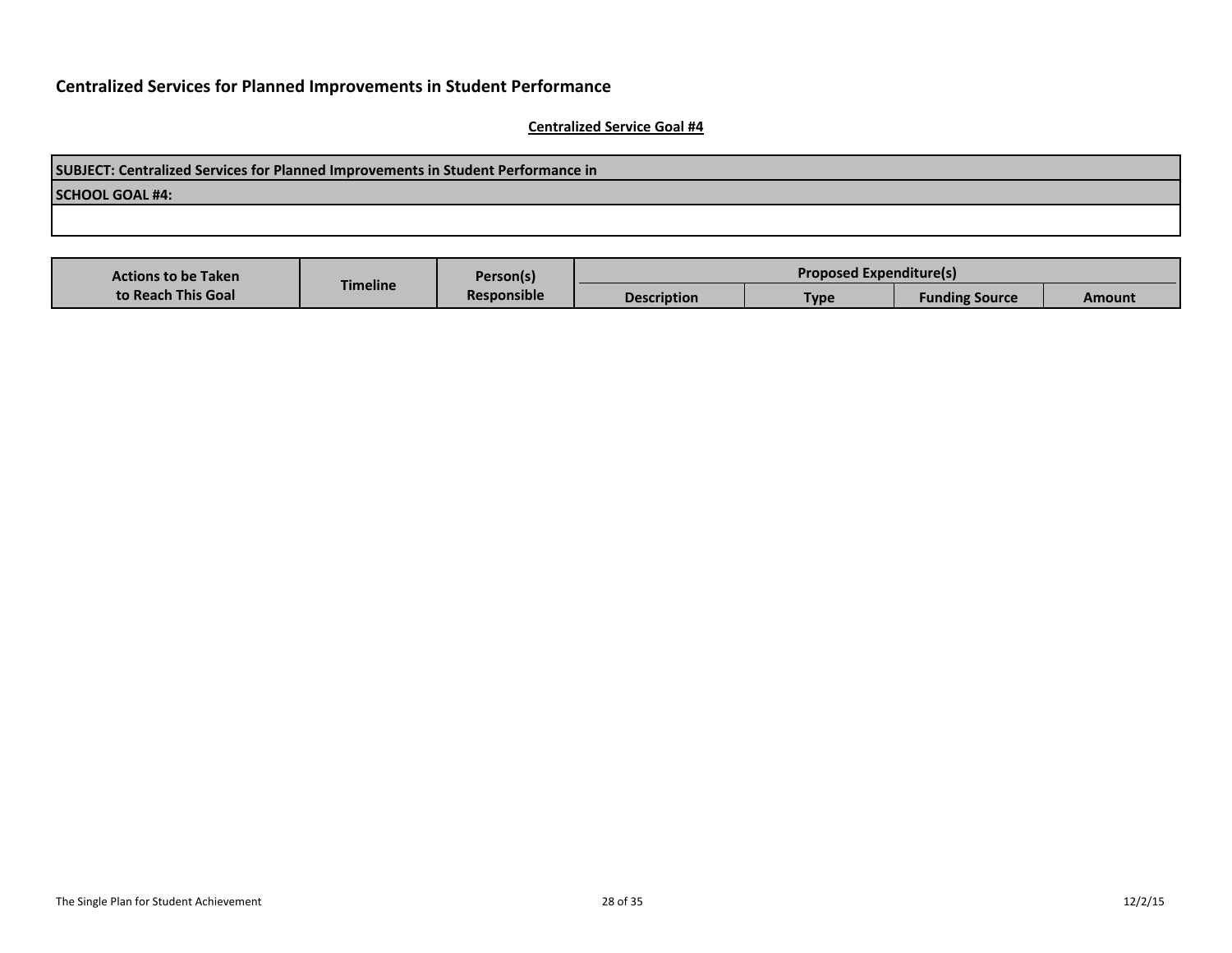| SUBJECT: Centralized Services for Planned Improvements in Student Performance in |
|----------------------------------------------------------------------------------|
| SCHOOL GOAL #4:                                                                  |
|                                                                                  |
|                                                                                  |

| <b>Actions to be Taken</b> |                 | Person(s)          | <b>Proposed Expenditure(s)</b> |      |                       |        |
|----------------------------|-----------------|--------------------|--------------------------------|------|-----------------------|--------|
| to Reach This Goal         | <b>Timeline</b> | <b>Responsible</b> | <b>Description</b>             | Type | <b>Funding Source</b> | Amount |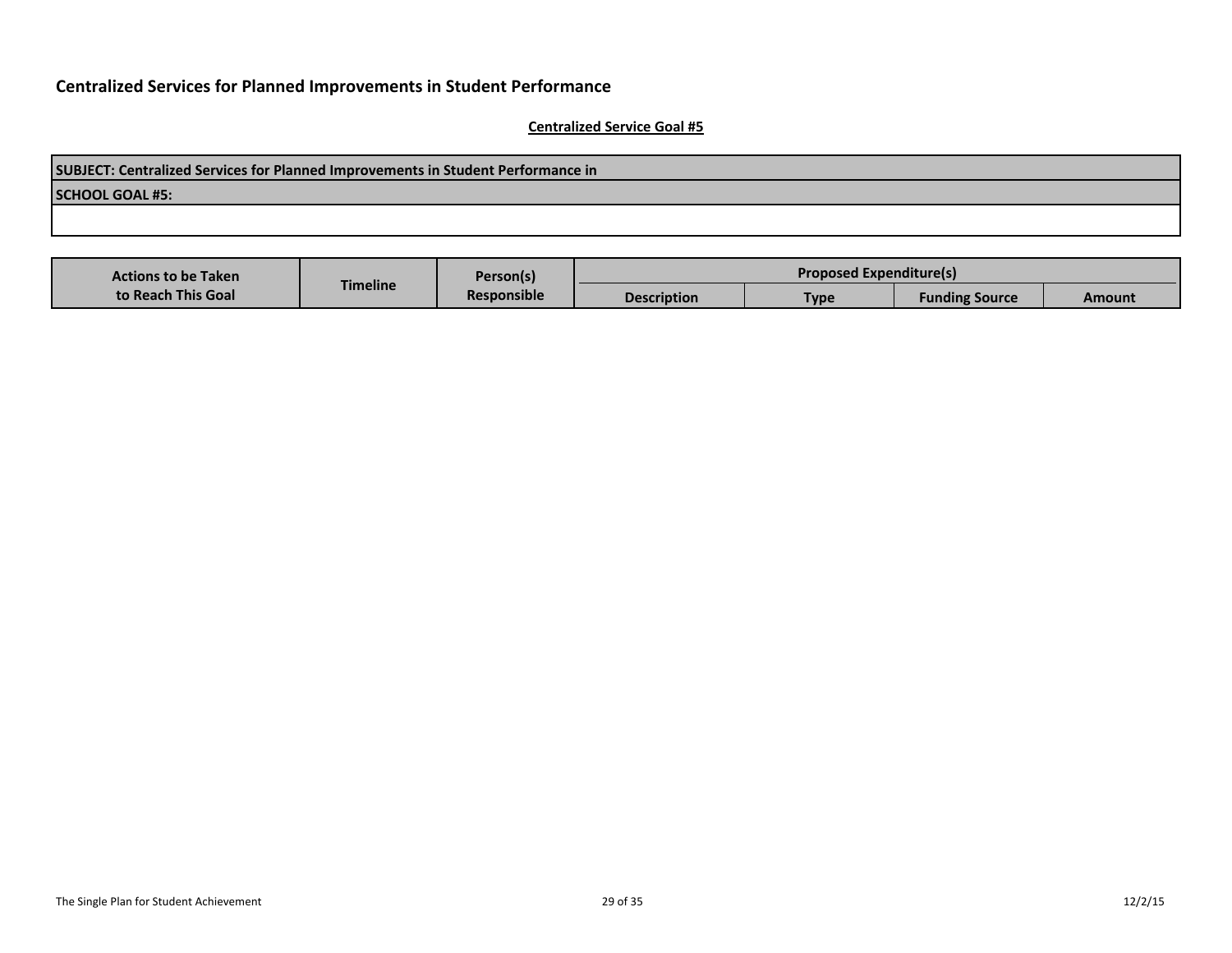| SUBJECT: Centralized Services for Planned Improvements in Student Performance in |
|----------------------------------------------------------------------------------|
| <b>SCHOOL GOAL #5:</b>                                                           |
|                                                                                  |
|                                                                                  |

| <b>Actions to be Taken</b> |                 | Person(s)          | <b>Proposed Expenditure(s)</b> |      |                       |        |
|----------------------------|-----------------|--------------------|--------------------------------|------|-----------------------|--------|
| to Reach This Goal         | <b>Timeline</b> | <b>Responsible</b> | <b>Description</b>             | Type | <b>Funding Source</b> | Amount |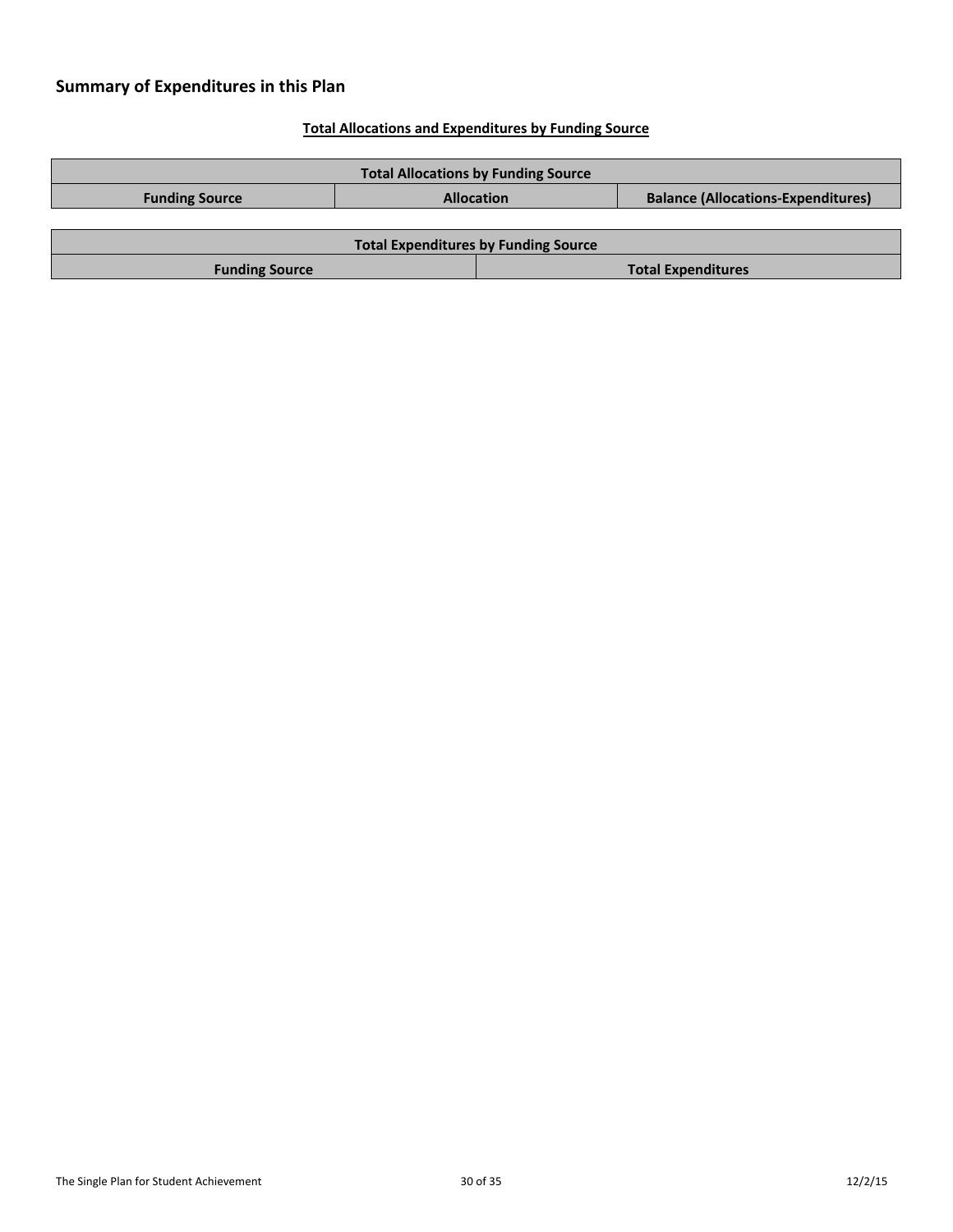# **Summary of Expenditures in this Plan**

### **Total Allocations and Expenditures by Funding Source**

| <b>Total Allocations by Funding Source</b>         |                   |  |                                           |  |  |
|----------------------------------------------------|-------------------|--|-------------------------------------------|--|--|
| <b>Funding Source</b>                              | <b>Allocation</b> |  | <b>Balance (Allocations-Expenditures)</b> |  |  |
|                                                    |                   |  |                                           |  |  |
| <b>Total Expenditures by Funding Source</b>        |                   |  |                                           |  |  |
| <b>Total Expenditures</b><br><b>Funding Source</b> |                   |  |                                           |  |  |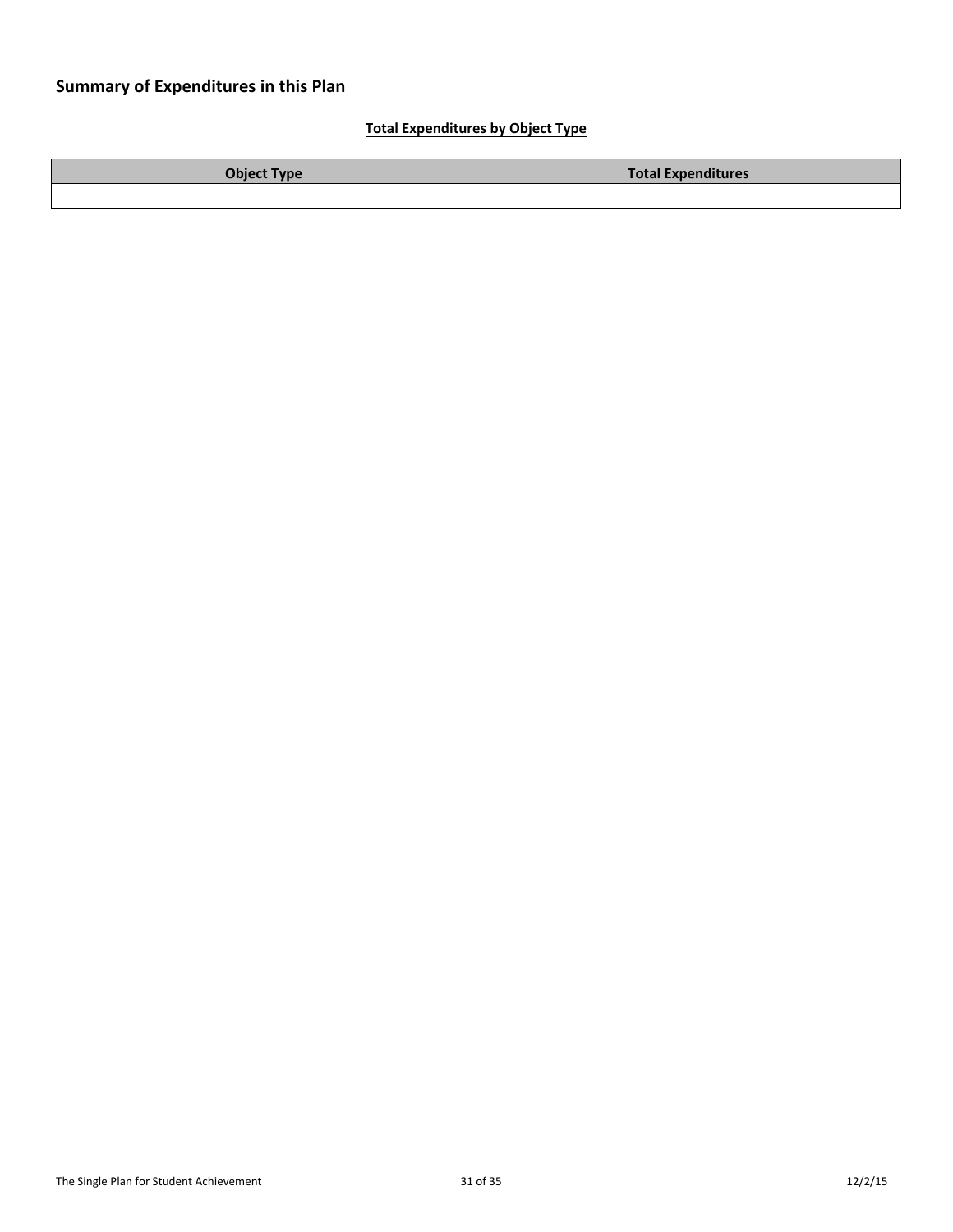### **Total Expenditures by Object Type**

| <b>Object Type</b> | <b>Total Expenditures</b> |
|--------------------|---------------------------|
|                    |                           |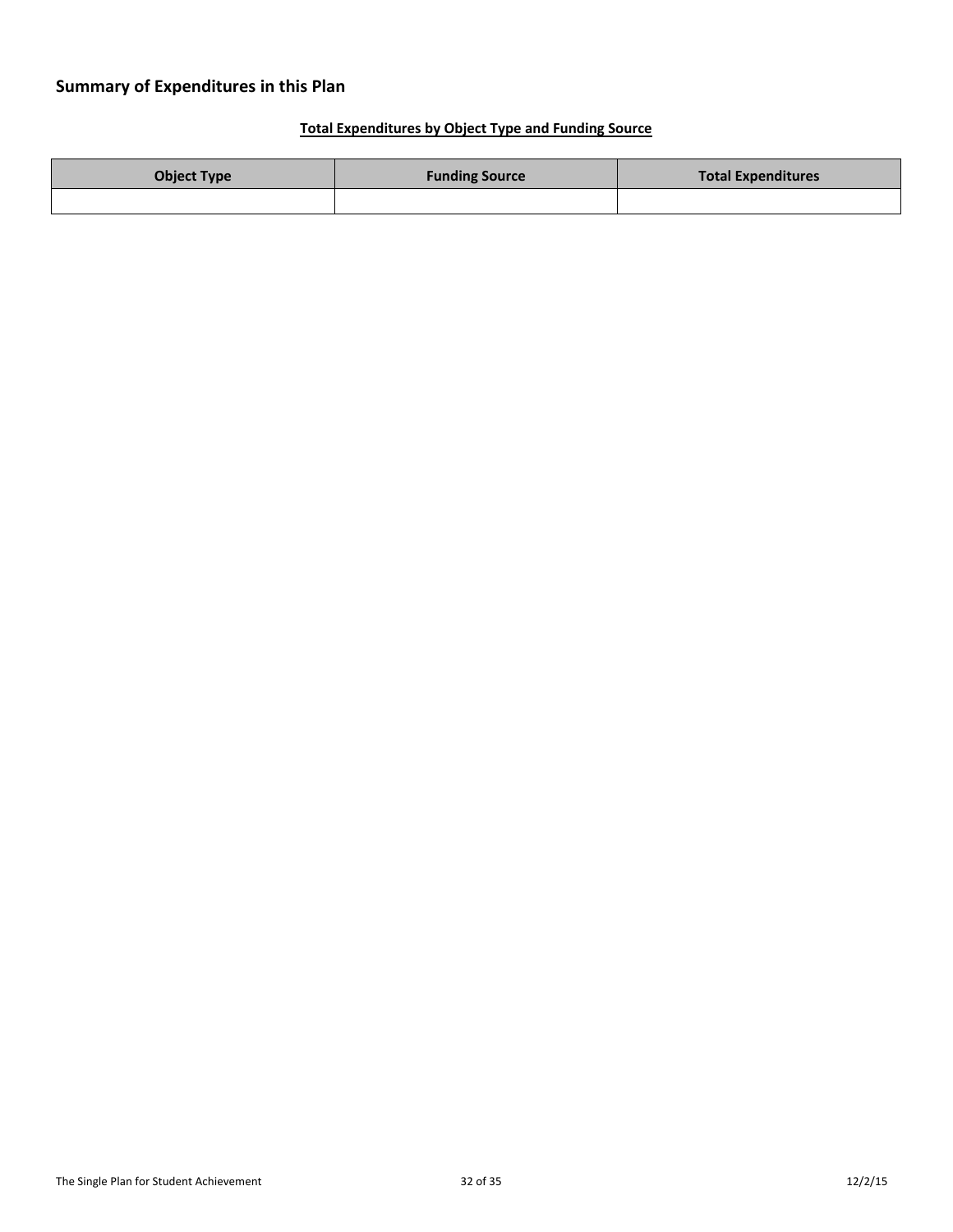# **Summary of Expenditures in this Plan**

# **Total Expenditures by Object Type and Funding Source**

| <b>Object Type</b> | <b>Funding Source</b> | <b>Total Expenditures</b> |
|--------------------|-----------------------|---------------------------|
|                    |                       |                           |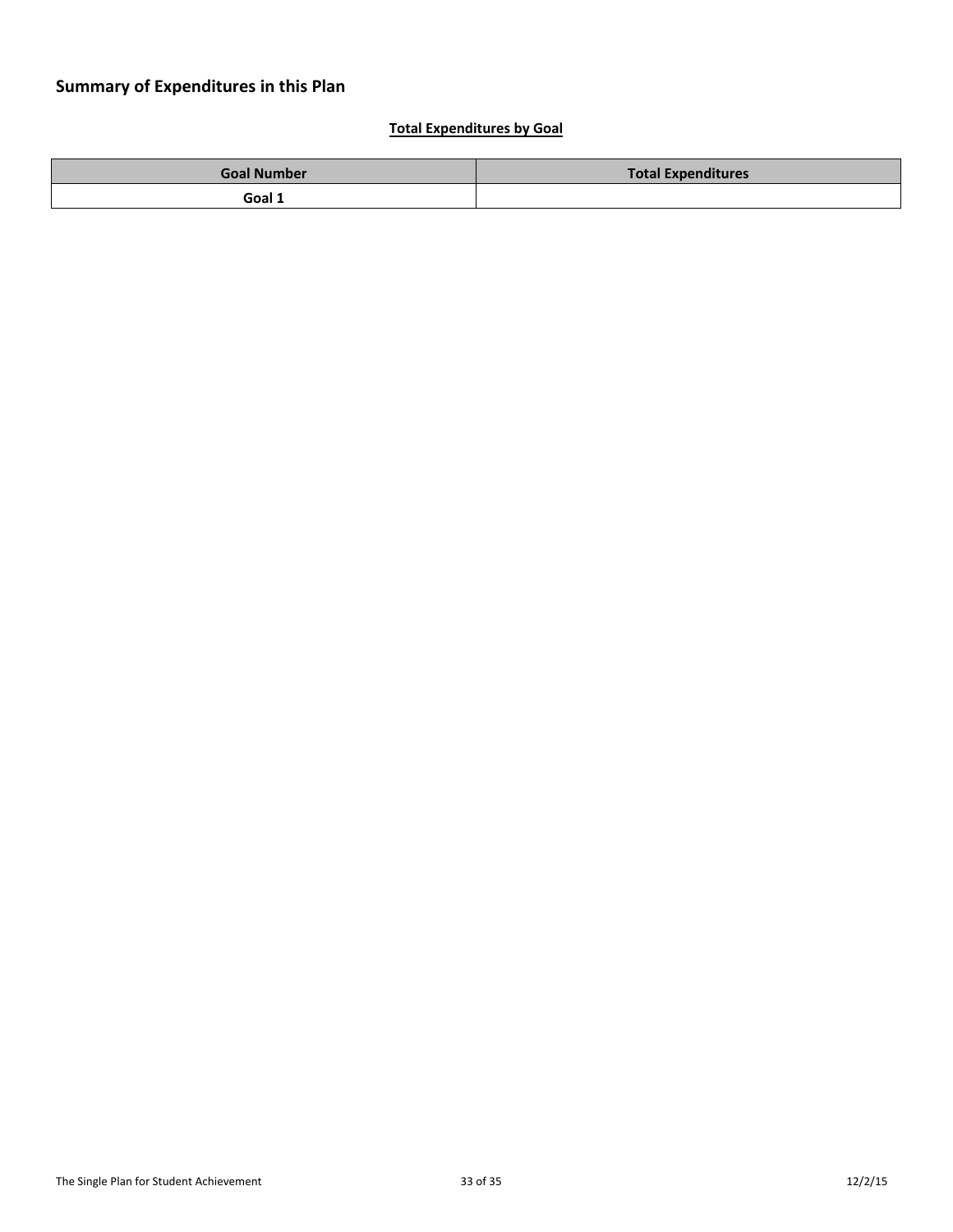### **Total Expenditures by Goal**

| <b>Goal Number</b> | <b>Total Expenditures</b> |
|--------------------|---------------------------|
| Goal 1             |                           |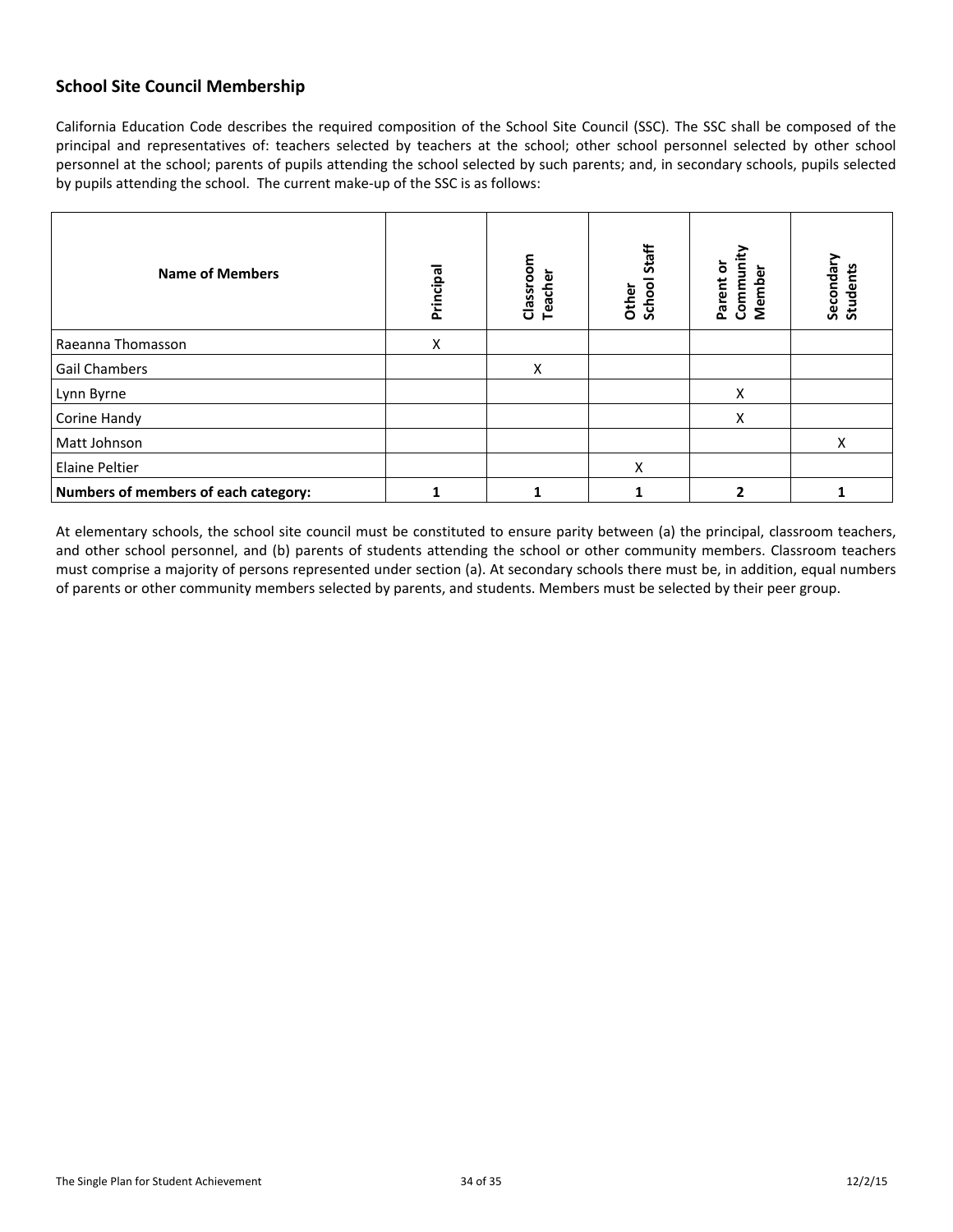# **School Site Council Membership**

California Education Code describes the required composition of the School Site Council (SSC). The SSC shall be composed of the principal and representatives of: teachers selected by teachers at the school; other school personnel selected by other school personnel at the school; parents of pupils attending the school selected by such parents; and, in secondary schools, pupils selected by pupils attending the school. The current make-up of the SSC is as follows:

| <b>Name of Members</b>               | Principal | Classroom<br><b>Teacher</b> | Staff<br>School<br>Other | Communit<br>Parent or<br>Member | Secondary<br><b>Students</b> |
|--------------------------------------|-----------|-----------------------------|--------------------------|---------------------------------|------------------------------|
| Raeanna Thomasson                    | Χ         |                             |                          |                                 |                              |
| <b>Gail Chambers</b>                 |           | X                           |                          |                                 |                              |
| Lynn Byrne                           |           |                             |                          | X                               |                              |
| Corine Handy                         |           |                             |                          | X                               |                              |
| Matt Johnson                         |           |                             |                          |                                 | X                            |
| <b>Elaine Peltier</b>                |           |                             | X                        |                                 |                              |
| Numbers of members of each category: |           |                             |                          |                                 |                              |

At elementary schools, the school site council must be constituted to ensure parity between (a) the principal, classroom teachers, and other school personnel, and (b) parents of students attending the school or other community members. Classroom teachers must comprise a majority of persons represented under section (a). At secondary schools there must be, in addition, equal numbers of parents or other community members selected by parents, and students. Members must be selected by their peer group.